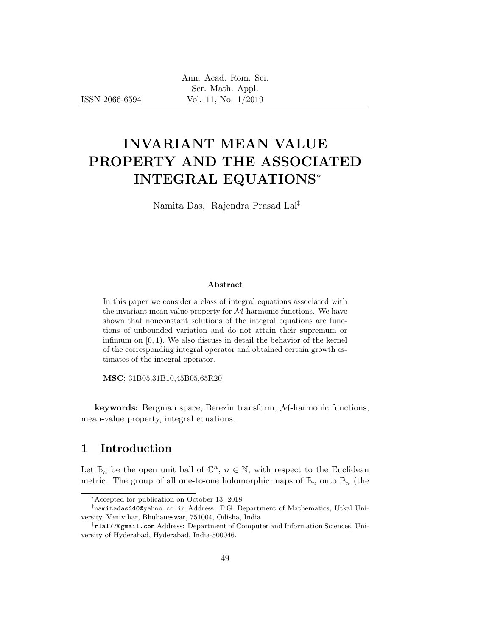ISSN 2066-6594

# INVARIANT MEAN VALUE PROPERTY AND THE ASSOCIATED INTEGRAL EQUATIONS<sup>∗</sup>

Namita Das† , Rajendra Prasad Lal‡

#### Abstract

In this paper we consider a class of integral equations associated with the invariant mean value property for  $M$ -harmonic functions. We have shown that nonconstant solutions of the integral equations are functions of unbounded variation and do not attain their supremum or infimum on [0, 1). We also discuss in detail the behavior of the kernel of the corresponding integral operator and obtained certain growth estimates of the integral operator.

MSC: 31B05,31B10,45B05,65R20

keywords: Bergman space, Berezin transform, M-harmonic functions, mean-value property, integral equations.

# 1 Introduction

Let  $\mathbb{B}_n$  be the open unit ball of  $\mathbb{C}^n$ ,  $n \in \mathbb{N}$ , with respect to the Euclidean metric. The group of all one-to-one holomorphic maps of  $\mathbb{B}_n$  onto  $\mathbb{B}_n$  (the

<sup>∗</sup>Accepted for publication on October 13, 2018

<sup>†</sup> namitadas440@yahoo.co.in Address: P.G. Department of Mathematics, Utkal University, Vanivihar, Bhubaneswar, 751004, Odisha, India

<sup>‡</sup> rlal77@gmail.com Address: Department of Computer and Information Sciences, University of Hyderabad, Hyderabad, India-500046.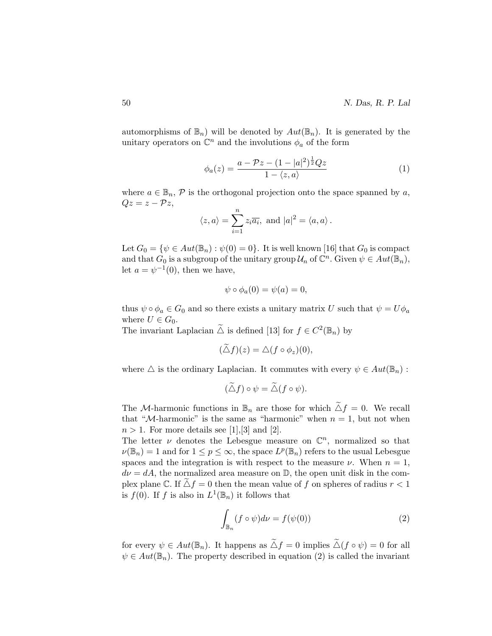automorphisms of  $\mathbb{B}_n$ ) will be denoted by  $Aut(\mathbb{B}_n)$ . It is generated by the unitary operators on  $\mathbb{C}^n$  and the involutions  $\phi_a$  of the form

$$
\phi_a(z) = \frac{a - \mathcal{P}z - (1 - |a|^2)^{\frac{1}{2}}Qz}{1 - \langle z, a \rangle} \tag{1}
$$

where  $a \in \mathbb{B}_n$ ,  $\mathcal{P}$  is the orthogonal projection onto the space spanned by a,  $Qz = z - \mathcal{P}z,$ 

$$
\langle z, a \rangle = \sum_{i=1}^{n} z_i \overline{a_i}
$$
, and  $|a|^2 = \langle a, a \rangle$ .

Let  $G_0 = \{ \psi \in Aut(\mathbb{B}_n) : \psi(0) = 0 \}.$  It is well known [16] that  $G_0$  is compact and that  $G_0$  is a subgroup of the unitary group  $\mathcal{U}_n$  of  $\mathbb{C}^n$ . Given  $\psi \in Aut(\mathbb{B}_n)$ , let  $a = \psi^{-1}(0)$ , then we have,

$$
\psi \circ \phi_a(0) = \psi(a) = 0,
$$

thus  $\psi \circ \phi_a \in G_0$  and so there exists a unitary matrix U such that  $\psi = U \phi_a$ where  $U \in G_0$ .

The invariant Laplacian  $\tilde{\triangle}$  is defined [13] for  $f \in C^2(\mathbb{B}_n)$  by

$$
(\tilde{\Delta}f)(z) = \Delta (f \circ \phi_z)(0),
$$

where  $\triangle$  is the ordinary Laplacian. It commutes with every  $\psi \in Aut(\mathbb{B}_n)$ :

$$
(\widetilde{\triangle} f) \circ \psi = \widetilde{\triangle} (f \circ \psi).
$$

The M-harmonic functions in  $\mathbb{B}_n$  are those for which  $\tilde{\triangle} f = 0$ . We recall that "M-harmonic" is the same as "harmonic" when  $n = 1$ , but not when  $n > 1$ . For more details see [1], [3] and [2].

The letter  $\nu$  denotes the Lebesgue measure on  $\mathbb{C}^n$ , normalized so that  $\nu(\mathbb{B}_n) = 1$  and for  $1 \le p \le \infty$ , the space  $L^p(\mathbb{B}_n)$  refers to the usual Lebesgue spaces and the integration is with respect to the measure  $\nu$ . When  $n = 1$ ,  $d\nu = dA$ , the normalized area measure on  $\mathbb{D}$ , the open unit disk in the complex plane C. If  $\Delta f = 0$  then the mean value of f on spheres of radius  $r < 1$ is  $f(0)$ . If f is also in  $L^1(\mathbb{B}_n)$  it follows that

$$
\int_{\mathbb{B}_n} (f \circ \psi) d\nu = f(\psi(0)) \tag{2}
$$

for every  $\psi \in Aut(\mathbb{B}_n)$ . It happens as  $\tilde{\triangle} f = 0$  implies  $\tilde{\triangle} (f \circ \psi) = 0$  for all  $\psi \in Aut(\mathbb{B}_n)$ . The property described in equation (2) is called the invariant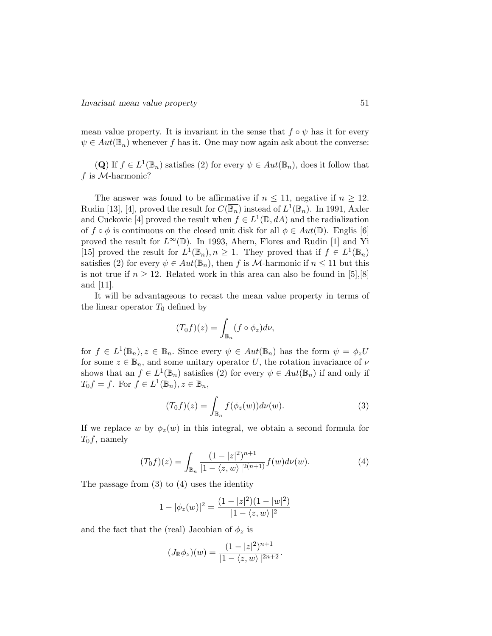mean value property. It is invariant in the sense that  $f \circ \psi$  has it for every  $\psi \in Aut(\mathbb{B}_n)$  whenever f has it. One may now again ask about the converse:

(Q) If  $f \in L^1(\mathbb{B}_n)$  satisfies (2) for every  $\psi \in Aut(\mathbb{B}_n)$ , does it follow that f is  $M$ -harmonic?

The answer was found to be affirmative if  $n \leq 11$ , negative if  $n \geq 12$ . Rudin [13], [4], proved the result for  $C(\overline{\mathbb{B}_n})$  instead of  $L^1(\mathbb{B}_n)$ . In 1991, Axler and Cuckovic [4] proved the result when  $f \in L^1(\mathbb{D}, dA)$  and the radialization of  $f \circ \phi$  is continuous on the closed unit disk for all  $\phi \in Aut(\mathbb{D})$ . Englis [6] proved the result for  $L^{\infty}(\mathbb{D})$ . In 1993, Ahern, Flores and Rudin [1] and Yi [15] proved the result for  $L^1(\mathbb{B}_n)$ ,  $n \geq 1$ . They proved that if  $f \in L^1(\mathbb{B}_n)$ satisfies (2) for every  $\psi \in Aut(\mathbb{B}_n)$ , then f is M-harmonic if  $n \leq 11$  but this is not true if  $n \geq 12$ . Related work in this area can also be found in [5], [8] and [11].

It will be advantageous to recast the mean value property in terms of the linear operator  $T_0$  defined by

$$
(T_0f)(z) = \int_{\mathbb{B}_n} (f \circ \phi_z) d\nu,
$$

for  $f \in L^1(\mathbb{B}_n)$ ,  $z \in \mathbb{B}_n$ . Since every  $\psi \in Aut(\mathbb{B}_n)$  has the form  $\psi = \phi_z U$ for some  $z \in \mathbb{B}_n$ , and some unitary operator U, the rotation invariance of  $\nu$ shows that an  $f \in L^1(\mathbb{B}_n)$  satisfies (2) for every  $\psi \in Aut(\mathbb{B}_n)$  if and only if  $T_0 f = f$ . For  $f \in L^1(\mathbb{B}_n)$ ,  $z \in \mathbb{B}_n$ ,

$$
(T_0 f)(z) = \int_{\mathbb{B}_n} f(\phi_z(w)) d\nu(w).
$$
 (3)

If we replace w by  $\phi_z(w)$  in this integral, we obtain a second formula for  $T_0f$ , namely

$$
(T_0 f)(z) = \int_{\mathbb{B}_n} \frac{(1 - |z|^2)^{n+1}}{|1 - \langle z, w \rangle|^{2(n+1)}} f(w) d\nu(w).
$$
 (4)

The passage from (3) to (4) uses the identity

$$
1 - |\phi_z(w)|^2 = \frac{(1 - |z|^2)(1 - |w|^2)}{|1 - \langle z, w \rangle|^2}
$$

and the fact that the (real) Jacobian of  $\phi_z$  is

$$
(J_{\mathbb{R}}\phi_z)(w) = \frac{(1-|z|^2)^{n+1}}{|1-\langle z,w\rangle|^{2n+2}}.
$$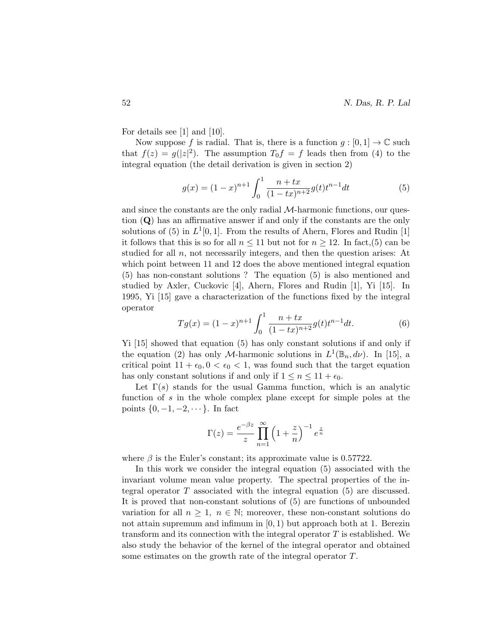For details see [1] and [10].

Now suppose f is radial. That is, there is a function  $g : [0, 1] \to \mathbb{C}$  such that  $f(z) = g(|z|^2)$ . The assumption  $T_0 f = f$  leads then from (4) to the integral equation (the detail derivation is given in section 2)

$$
g(x) = (1-x)^{n+1} \int_0^1 \frac{n+tx}{(1-tx)^{n+2}} g(t) t^{n-1} dt
$$
 (5)

and since the constants are the only radial  $M$ -harmonic functions, our question (Q) has an affirmative answer if and only if the constants are the only solutions of (5) in  $L^1[0,1]$ . From the results of Ahern, Flores and Rudin [1] it follows that this is so for all  $n \leq 11$  but not for  $n \geq 12$ . In fact, (5) can be studied for all n, not necessarily integers, and then the question arises: At which point between 11 and 12 does the above mentioned integral equation (5) has non-constant solutions ? The equation (5) is also mentioned and studied by Axler, Cuckovic [4], Ahern, Flores and Rudin [1], Yi [15]. In 1995, Yi [15] gave a characterization of the functions fixed by the integral operator

$$
Tg(x) = (1-x)^{n+1} \int_0^1 \frac{n+tx}{(1-tx)^{n+2}} g(t) t^{n-1} dt.
$$
 (6)

Yi [15] showed that equation (5) has only constant solutions if and only if the equation (2) has only *M*-harmonic solutions in  $L^1(\mathbb{B}_n, d\nu)$ . In [15], a critical point  $11 + \epsilon_0$ ,  $0 < \epsilon_0 < 1$ , was found such that the target equation has only constant solutions if and only if  $1 \leq n \leq 11 + \epsilon_0$ .

Let  $\Gamma(s)$  stands for the usual Gamma function, which is an analytic function of s in the whole complex plane except for simple poles at the points  $\{0, -1, -2, \dots\}$ . In fact

$$
\Gamma(z) = \frac{e^{-\beta z}}{z} \prod_{n=1}^{\infty} \left(1 + \frac{z}{n}\right)^{-1} e^{\frac{z}{n}}
$$

where  $\beta$  is the Euler's constant; its approximate value is 0.57722.

In this work we consider the integral equation (5) associated with the invariant volume mean value property. The spectral properties of the integral operator T associated with the integral equation (5) are discussed. It is proved that non-constant solutions of (5) are functions of unbounded variation for all  $n \geq 1$ ,  $n \in \mathbb{N}$ ; moreover, these non-constant solutions do not attain supremum and infimum in  $[0, 1)$  but approach both at 1. Berezin transform and its connection with the integral operator  $T$  is established. We also study the behavior of the kernel of the integral operator and obtained some estimates on the growth rate of the integral operator T.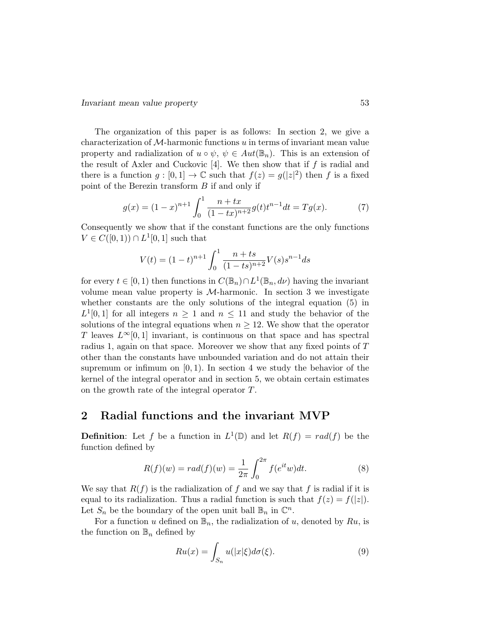The organization of this paper is as follows: In section 2, we give a characterization of  $M$ -harmonic functions  $u$  in terms of invariant mean value property and radialization of  $u \circ \psi$ ,  $\psi \in Aut(\mathbb{B}_n)$ . This is an extension of the result of Axler and Cuckovic  $[4]$ . We then show that if f is radial and there is a function  $g: [0,1] \to \mathbb{C}$  such that  $f(z) = g(|z|^2)$  then f is a fixed point of the Berezin transform  $B$  if and only if

$$
g(x) = (1-x)^{n+1} \int_0^1 \frac{n+tx}{(1-tx)^{n+2}} g(t) t^{n-1} dt = Tg(x).
$$
 (7)

Consequently we show that if the constant functions are the only functions  $V \in C([0, 1)) \cap L^{1}[0, 1]$  such that

$$
V(t) = (1-t)^{n+1} \int_0^1 \frac{n+ts}{(1-ts)^{n+2}} V(s) s^{n-1} ds
$$

for every  $t \in [0, 1)$  then functions in  $C(\mathbb{B}_n) \cap L^1(\mathbb{B}_n, d\nu)$  having the invariant volume mean value property is  $M$ -harmonic. In section 3 we investigate whether constants are the only solutions of the integral equation (5) in  $L^1[0,1]$  for all integers  $n \geq 1$  and  $n \leq 11$  and study the behavior of the solutions of the integral equations when  $n \geq 12$ . We show that the operator T leaves  $L^{\infty}[0,1]$  invariant, is continuous on that space and has spectral radius 1, again on that space. Moreover we show that any fixed points of T other than the constants have unbounded variation and do not attain their supremum or infimum on  $[0, 1)$ . In section 4 we study the behavior of the kernel of the integral operator and in section 5, we obtain certain estimates on the growth rate of the integral operator T.

### 2 Radial functions and the invariant MVP

**Definition:** Let f be a function in  $L^1(\mathbb{D})$  and let  $R(f) = rad(f)$  be the function defined by

$$
R(f)(w) = rad(f)(w) = \frac{1}{2\pi} \int_0^{2\pi} f(e^{it}w)dt.
$$
 (8)

We say that  $R(f)$  is the radialization of f and we say that f is radial if it is equal to its radialization. Thus a radial function is such that  $f(z) = f(|z|)$ . Let  $S_n$  be the boundary of the open unit ball  $\mathbb{B}_n$  in  $\mathbb{C}^n$ .

For a function u defined on  $\mathbb{B}_n$ , the radialization of u, denoted by Ru, is the function on  $\mathbb{B}_n$  defined by

$$
Ru(x) = \int_{S_n} u(|x|\xi) d\sigma(\xi).
$$
 (9)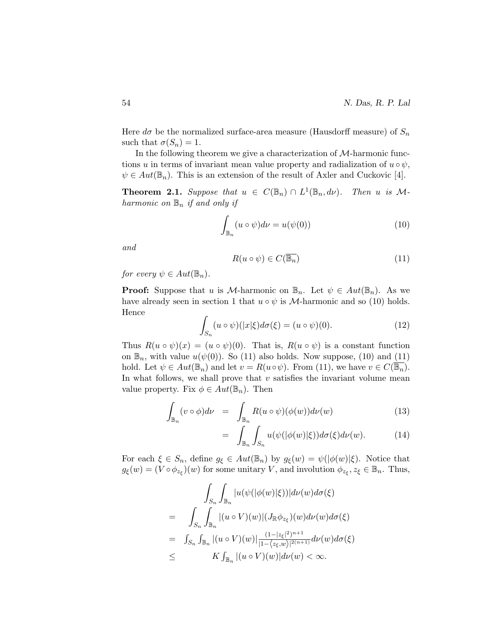Here  $d\sigma$  be the normalized surface-area measure (Hausdorff measure) of  $S_n$ such that  $\sigma(S_n) = 1$ .

In the following theorem we give a characterization of  $M$ -harmonic functions u in terms of invariant mean value property and radialization of  $u \circ \psi$ ,  $\psi \in Aut(\mathbb{B}_n)$ . This is an extension of the result of Axler and Cuckovic [4].

**Theorem 2.1.** Suppose that  $u \in C(\mathbb{B}_n) \cap L^1(\mathbb{B}_n, d\nu)$ . Then u is Mharmonic on  $\mathbb{B}_n$  if and only if

$$
\int_{\mathbb{B}_n} (u \circ \psi) d\nu = u(\psi(0)) \tag{10}
$$

and

$$
R(u \circ \psi) \in C(\overline{\mathbb{B}_n})\tag{11}
$$

for every  $\psi \in Aut(\mathbb{B}_n)$ .

**Proof:** Suppose that u is M-harmonic on  $\mathbb{B}_n$ . Let  $\psi \in Aut(\mathbb{B}_n)$ . As we have already seen in section 1 that  $u \circ \psi$  is M-harmonic and so (10) holds. Hence

$$
\int_{S_n} (u \circ \psi)(|x|\xi) d\sigma(\xi) = (u \circ \psi)(0). \tag{12}
$$

Thus  $R(u \circ \psi)(x) = (u \circ \psi)(0)$ . That is,  $R(u \circ \psi)$  is a constant function on  $\mathbb{B}_n$ , with value  $u(\psi(0))$ . So (11) also holds. Now suppose, (10) and (11) hold. Let  $\psi \in Aut(\mathbb{B}_n)$  and let  $v = R(u \circ \psi)$ . From (11), we have  $v \in C(\mathbb{B}_n)$ . In what follows, we shall prove that  $v$  satisfies the invariant volume mean value property. Fix  $\phi \in Aut(\mathbb{B}_n)$ . Then

$$
\int_{\mathbb{B}_n} (v \circ \phi) d\nu = \int_{\mathbb{B}_n} R(u \circ \psi) (\phi(w)) d\nu(w) \tag{13}
$$

$$
= \int_{\mathbb{B}_n} \int_{S_n} u(\psi(|\phi(w)|\xi)) d\sigma(\xi) d\nu(w). \tag{14}
$$

For each  $\xi \in S_n$ , define  $g_{\xi} \in Aut(\mathbb{B}_n)$  by  $g_{\xi}(w) = \psi(|\phi(w)|\xi)$ . Notice that  $g_{\xi}(w) = (V \circ \phi_{z_{\xi}})(w)$  for some unitary V, and involution  $\phi_{z_{\xi}}, z_{\xi} \in \mathbb{B}_n$ . Thus,

$$
\int_{S_n} \int_{\mathbb{B}_n} |u(\psi(|\phi(w)|\xi))| d\nu(w) d\sigma(\xi)
$$
\n
$$
= \int_{S_n} \int_{\mathbb{B}_n} |(u \circ V)(w)| (J_{\mathbb{R}} \phi_{z_{\xi}})(w) d\nu(w) d\sigma(\xi)
$$
\n
$$
= \int_{S_n} \int_{\mathbb{B}_n} |(u \circ V)(w)| \frac{(1-|z_{\xi}|^2)^{n+1}}{|1-\langle z_{\xi}, w \rangle|^{2(n+1)}} d\nu(w) d\sigma(\xi)
$$
\n
$$
\leq K \int_{\mathbb{B}_n} |(u \circ V)(w)| d\nu(w) < \infty.
$$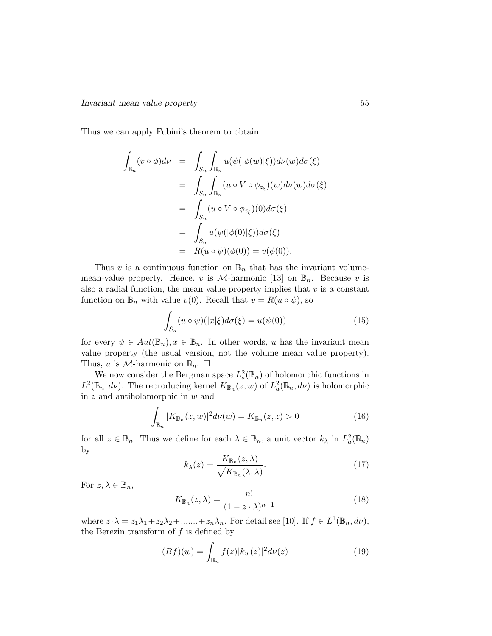Thus we can apply Fubini's theorem to obtain

$$
\int_{\mathbb{B}_n} (v \circ \phi) d\nu = \int_{S_n} \int_{\mathbb{B}_n} u(\psi(|\phi(w)|\xi)) d\nu(w) d\sigma(\xi)
$$
\n
$$
= \int_{S_n} \int_{\mathbb{B}_n} (u \circ V \circ \phi_{z_{\xi}})(w) d\nu(w) d\sigma(\xi)
$$
\n
$$
= \int_{S_n} (u \circ V \circ \phi_{z_{\xi}})(0) d\sigma(\xi)
$$
\n
$$
= \int_{S_n} u(\psi(|\phi(0)|\xi)) d\sigma(\xi)
$$
\n
$$
= R(u \circ \psi)(\phi(0)) = v(\phi(0)).
$$

Thus v is a continuous function on  $\overline{\mathbb{B}_n}$  that has the invariant volumemean-value property. Hence, v is  $\mathcal{M}$ -harmonic [13] on  $\mathbb{B}_n$ . Because v is also a radial function, the mean value property implies that  $v$  is a constant function on  $\mathbb{B}_n$  with value  $v(0)$ . Recall that  $v = R(u \circ \psi)$ , so

$$
\int_{S_n} (u \circ \psi)(|x|\xi) d\sigma(\xi) = u(\psi(0))
$$
\n(15)

for every  $\psi \in Aut(\mathbb{B}_n)$ ,  $x \in \mathbb{B}_n$ . In other words, u has the invariant mean value property (the usual version, not the volume mean value property). Thus, u is M-harmonic on  $\mathbb{B}_n$ .  $\square$ 

We now consider the Bergman space  $L^2_a(\mathbb{B}_n)$  of holomorphic functions in  $L^2(\mathbb{B}_n, d\nu)$ . The reproducing kernel  $K_{\mathbb{B}_n}(z, w)$  of  $L^2_a(\mathbb{B}_n, d\nu)$  is holomorphic in z and antiholomorphic in w and

$$
\int_{\mathbb{B}_n} |K_{\mathbb{B}_n}(z, w)|^2 d\nu(w) = K_{\mathbb{B}_n}(z, z) > 0
$$
\n(16)

for all  $z \in \mathbb{B}_n$ . Thus we define for each  $\lambda \in \mathbb{B}_n$ , a unit vector  $k_\lambda$  in  $L^2_a(\mathbb{B}_n)$ by

$$
k_{\lambda}(z) = \frac{K_{\mathbb{B}_n}(z,\lambda)}{\sqrt{K_{\mathbb{B}_n}(\lambda,\lambda)}}.
$$
\n(17)

For  $z, \lambda \in \mathbb{B}_n$ ,

$$
K_{\mathbb{B}_n}(z,\lambda) = \frac{n!}{(1-z\cdot\overline{\lambda})^{n+1}}\tag{18}
$$

where  $z \cdot \overline{\lambda} = z_1 \overline{\lambda}_1 + z_2 \overline{\lambda}_2 + \dots + z_n \overline{\lambda}_n$ . For detail see [10]. If  $f \in L^1(\mathbb{B}_n, d\nu)$ , the Berezin transform of  $f$  is defined by

$$
(Bf)(w) = \int_{\mathbb{B}_n} f(z) |k_w(z)|^2 d\nu(z)
$$
 (19)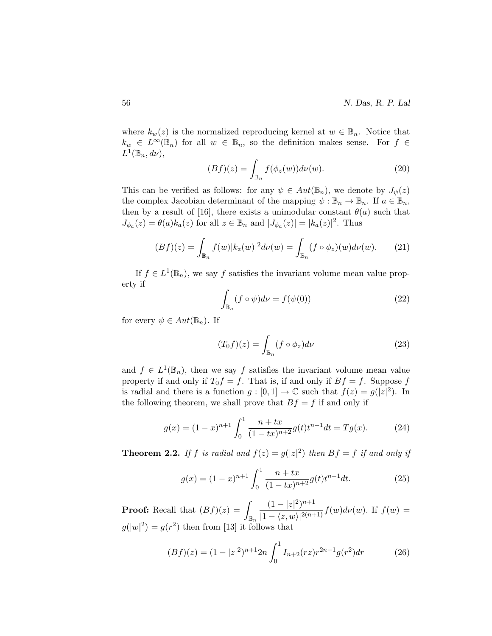where  $k_w(z)$  is the normalized reproducing kernel at  $w \in \mathbb{B}_n$ . Notice that  $k_w \in L^{\infty}(\mathbb{B}_n)$  for all  $w \in \mathbb{B}_n$ , so the definition makes sense. For  $f \in$  $L^1(\mathbb{B}_n, d\nu),$ 

$$
(Bf)(z) = \int_{\mathbb{B}_n} f(\phi_z(w)) d\nu(w).
$$
 (20)

This can be verified as follows: for any  $\psi \in Aut(\mathbb{B}_n)$ , we denote by  $J_{\psi}(z)$ the complex Jacobian determinant of the mapping  $\psi : \mathbb{B}_n \to \mathbb{B}_n$ . If  $a \in \mathbb{B}_n$ , then by a result of [16], there exists a unimodular constant  $\theta(a)$  such that  $J_{\phi_a}(z) = \theta(a)k_a(z)$  for all  $z \in \mathbb{B}_n$  and  $|J_{\phi_a}(z)| = |k_a(z)|^2$ . Thus

$$
(Bf)(z) = \int_{\mathbb{B}_n} f(w) |k_z(w)|^2 d\nu(w) = \int_{\mathbb{B}_n} (f \circ \phi_z)(w) d\nu(w).
$$
 (21)

If  $f \in L^1(\mathbb{B}_n)$ , we say f satisfies the invariant volume mean value property if

$$
\int_{\mathbb{B}_n} (f \circ \psi) d\nu = f(\psi(0)) \tag{22}
$$

for every  $\psi \in Aut(\mathbb{B}_n)$ . If

$$
(T_0 f)(z) = \int_{\mathbb{B}_n} (f \circ \phi_z) d\nu \tag{23}
$$

and  $f \in L^1(\mathbb{B}_n)$ , then we say f satisfies the invariant volume mean value property if and only if  $T_0f = f$ . That is, if and only if  $Bf = f$ . Suppose f is radial and there is a function  $g: [0,1] \to \mathbb{C}$  such that  $f(z) = g(|z|^2)$ . In the following theorem, we shall prove that  $Bf = f$  if and only if

$$
g(x) = (1-x)^{n+1} \int_0^1 \frac{n+tx}{(1-tx)^{n+2}} g(t) t^{n-1} dt = Tg(x).
$$
 (24)

**Theorem 2.2.** If f is radial and  $f(z) = g(|z|^2)$  then  $Bf = f$  if and only if

$$
g(x) = (1-x)^{n+1} \int_0^1 \frac{n+tx}{(1-tx)^{n+2}} g(t) t^{n-1} dt.
$$
 (25)

**Proof:** Recall that  $(Bf)(z) = \sqrt{2}$  $\mathbb{B}_n$  $(1-|z|^2)^{n+1}$  $\frac{(1+|z|)}{|1-\langle z,w\rangle|^{2(n+1)}} f(w) d\nu(w)$ . If  $f(w) =$  $g(|w|^2) = g(r^2)$  then from [13] it follows that

$$
(Bf)(z) = (1 - |z|^2)^{n+1} 2n \int_0^1 I_{n+2}(rz) r^{2n-1} g(r^2) dr \tag{26}
$$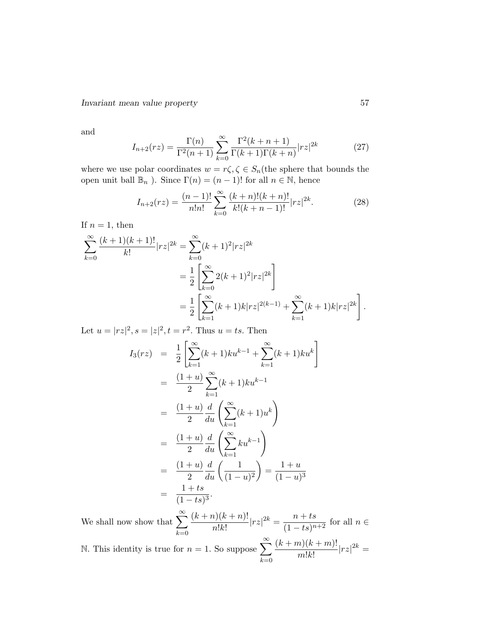and

$$
I_{n+2}(rz) = \frac{\Gamma(n)}{\Gamma^2(n+1)} \sum_{k=0}^{\infty} \frac{\Gamma^2(k+n+1)}{\Gamma(k+1)\Gamma(k+n)} |rz|^{2k}
$$
 (27)

where we use polar coordinates  $w = r\zeta, \zeta \in S_n$  (the sphere that bounds the open unit ball  $\mathbb{B}_n$ ). Since  $\Gamma(n) = (n-1)!$  for all  $n \in \mathbb{N}$ , hence

$$
I_{n+2}(rz) = \frac{(n-1)!}{n!n!} \sum_{k=0}^{\infty} \frac{(k+n)!(k+n)!}{k!(k+n-1)!} |rz|^{2k}.
$$
 (28)

If  $n = 1$ , then

$$
\sum_{k=0}^{\infty} \frac{(k+1)(k+1)!}{k!} |rz|^{2k} = \sum_{k=0}^{\infty} (k+1)^2 |rz|^{2k}
$$
  
= 
$$
\frac{1}{2} \left[ \sum_{k=0}^{\infty} 2(k+1)^2 |rz|^{2k} \right]
$$
  
= 
$$
\frac{1}{2} \left[ \sum_{k=1}^{\infty} (k+1)k |rz|^{2(k-1)} + \sum_{k=1}^{\infty} (k+1)k |rz|^{2k} \right].
$$

Let  $u = |rz|^2$ ,  $s = |z|^2$ ,  $t = r^2$ . Thus  $u = ts$ . Then

$$
I_3(rz) = \frac{1}{2} \left[ \sum_{k=1}^{\infty} (k+1)ku^{k-1} + \sum_{k=1}^{\infty} (k+1)ku^k \right]
$$
  
\n
$$
= \frac{(1+u)}{2} \sum_{k=1}^{\infty} (k+1)ku^{k-1}
$$
  
\n
$$
= \frac{(1+u)}{2} \frac{d}{du} \left( \sum_{k=1}^{\infty} (k+1)u^k \right)
$$
  
\n
$$
= \frac{(1+u)}{2} \frac{d}{du} \left( \sum_{k=1}^{\infty} ku^{k-1} \right)
$$
  
\n
$$
= \frac{(1+u)}{2} \frac{d}{du} \left( \frac{1}{(1-u)^2} \right) = \frac{1+u}{(1-u)^3}
$$
  
\n
$$
= \frac{1+ts}{(1-ts)^3}.
$$

We shall now show that  $\sum_{n=1}^{\infty}$  $_{k=0}$  $(k + n)(k + n)!$  $\frac{n(k+n)!}{n!k!}$  $|rz|^{2k} = \frac{n+ts}{(1-ts)^n}$  $\frac{n+160}{(1-ts)^{n+2}}$  for all  $n \in$ 

N. This identity is true for  $n = 1$ . So suppose  $\sum_{n=1}^{\infty}$  $k=0$  $(k + m)(k + m)!$  $\frac{m!k!}{m!k!}$   $|rz|^{2k} =$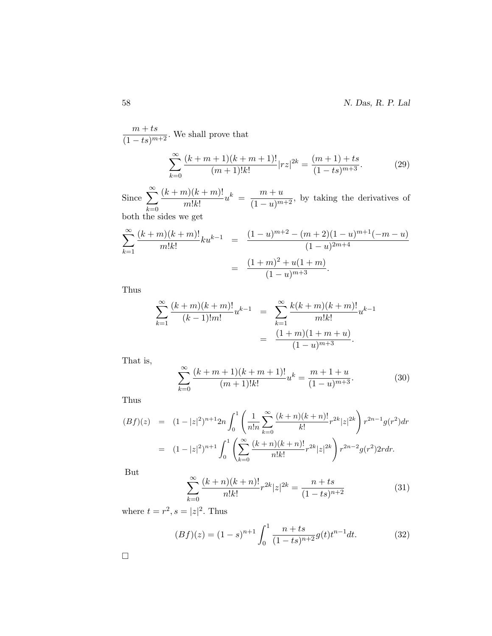58 N. Das, R. P. Lal

 $\frac{m+ts}{(1-ts)^{m+2}}$ . We shall prove that  $\sum^{\infty}$  $_{k=0}$  $(k + m + 1)(k + m + 1)!$  $\frac{(m+1)(k+m+1)!}{(m+1)!k!}|rz|^{2k} = \frac{(m+1)+ts}{(1-ts)^{m+3}}.$  (29)

Since  $\sum_{n=1}^{\infty}$  $_{k=0}$  $(k + m)(k + m)!$  $\frac{m!k!}{m!k!}u^k = \frac{m+u}{(1-u)^{m+2}}$ , by taking the derivatives of both the sides we get

$$
\sum_{k=1}^{\infty} \frac{(k+m)(k+m)!}{m!k!} k u^{k-1} = \frac{(1-u)^{m+2} - (m+2)(1-u)^{m+1}(-m-u)}{(1-u)^{2m+4}}
$$

$$
= \frac{(1+m)^2 + u(1+m)}{(1-u)^{m+3}}.
$$

Thus

$$
\sum_{k=1}^{\infty} \frac{(k+m)(k+m)!}{(k-1)!m!} u^{k-1} = \sum_{k=1}^{\infty} \frac{k(k+m)(k+m)!}{m!k!} u^{k-1}
$$

$$
= \frac{(1+m)(1+m+u)}{(1-u)^{m+3}}.
$$

That is,

$$
\sum_{k=0}^{\infty} \frac{(k+m+1)(k+m+1)!}{(m+1)!k!} u^k = \frac{m+1+u}{(1-u)^{m+3}}.
$$
 (30)

Thus

$$
(Bf)(z) = (1-|z|^2)^{n+1} 2n \int_0^1 \left( \frac{1}{n!n} \sum_{k=0}^\infty \frac{(k+n)(k+n)!}{k!} r^{2k} |z|^{2k} \right) r^{2n-1} g(r^2) dr
$$
  

$$
= (1-|z|^2)^{n+1} \int_0^1 \left( \sum_{k=0}^\infty \frac{(k+n)(k+n)!}{n!k!} r^{2k} |z|^{2k} \right) r^{2n-2} g(r^2) 2r dr.
$$

But

$$
\sum_{k=0}^{\infty} \frac{(k+n)(k+n)!}{n!k!} r^{2k} |z|^{2k} = \frac{n+ts}{(1-ts)^{n+2}}
$$
(31)

where  $t = r^2$ ,  $s = |z|^2$ . Thus

$$
(Bf)(z) = (1-s)^{n+1} \int_0^1 \frac{n+ts}{(1-ts)^{n+2}} g(t) t^{n-1} dt.
$$
 (32)

 $\Box$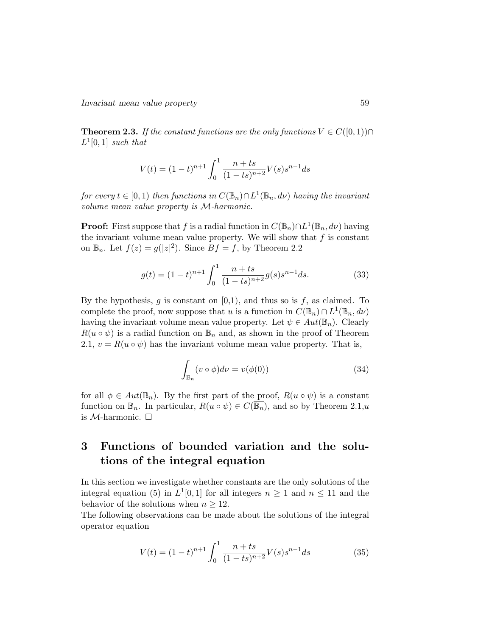**Theorem 2.3.** If the constant functions are the only functions  $V \in C([0,1)) \cap$  $L^1[0,1]$  such that

$$
V(t) = (1-t)^{n+1} \int_0^1 \frac{n+ts}{(1-ts)^{n+2}} V(s) s^{n-1} ds
$$

for every  $t \in [0, 1)$  then functions in  $C(\mathbb{B}_n) \cap L^1(\mathbb{B}_n, d\nu)$  having the invariant volume mean value property is M-harmonic.

**Proof:** First suppose that f is a radial function in  $C(\mathbb{B}_n) \cap L^1(\mathbb{B}_n, d\nu)$  having the invariant volume mean value property. We will show that  $f$  is constant on  $\mathbb{B}_n$ . Let  $f(z) = g(|z|^2)$ . Since  $Bf = f$ , by Theorem 2.2

$$
g(t) = (1-t)^{n+1} \int_0^1 \frac{n+ts}{(1-ts)^{n+2}} g(s) s^{n-1} ds.
$$
 (33)

By the hypothesis,  $g$  is constant on  $[0,1)$ , and thus so is  $f$ , as claimed. To complete the proof, now suppose that u is a function in  $C(\mathbb{B}_n) \cap L^1(\mathbb{B}_n, d\nu)$ having the invariant volume mean value property. Let  $\psi \in Aut(\mathbb{B}_n)$ . Clearly  $R(u \circ \psi)$  is a radial function on  $\mathbb{B}_n$  and, as shown in the proof of Theorem 2.1,  $v = R(u \circ \psi)$  has the invariant volume mean value property. That is,

$$
\int_{\mathbb{B}_n} (v \circ \phi) d\nu = v(\phi(0)) \tag{34}
$$

for all  $\phi \in Aut(\mathbb{B}_n)$ . By the first part of the proof,  $R(u \circ \psi)$  is a constant function on  $\mathbb{B}_n$ . In particular,  $R(u \circ \psi) \in C(\overline{\mathbb{B}_n})$ , and so by Theorem 2.1,u is  $M$ -harmonic.  $\square$ 

# 3 Functions of bounded variation and the solutions of the integral equation

In this section we investigate whether constants are the only solutions of the integral equation (5) in  $L^1[0,1]$  for all integers  $n \geq 1$  and  $n \leq 11$  and the behavior of the solutions when  $n \geq 12$ .

The following observations can be made about the solutions of the integral operator equation

$$
V(t) = (1-t)^{n+1} \int_0^1 \frac{n+ts}{(1-ts)^{n+2}} V(s) s^{n-1} ds
$$
 (35)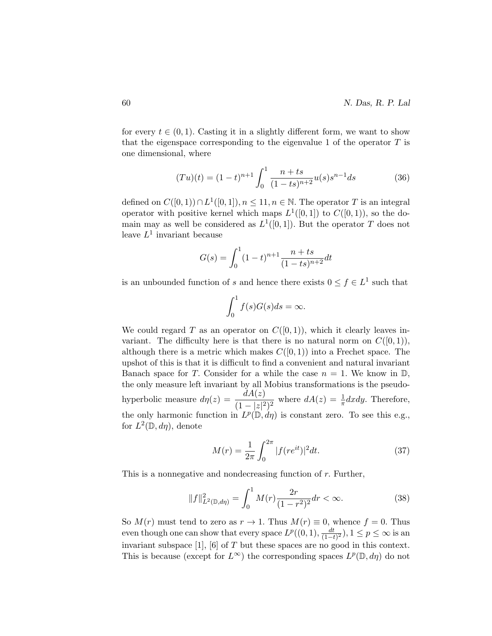for every  $t \in (0, 1)$ . Casting it in a slightly different form, we want to show that the eigenspace corresponding to the eigenvalue 1 of the operator  $T$  is one dimensional, where

$$
(Tu)(t) = (1-t)^{n+1} \int_0^1 \frac{n+ts}{(1-ts)^{n+2}} u(s) s^{n-1} ds
$$
 (36)

defined on  $C([0,1)) \cap L^1([0,1])$ ,  $n \leq 11$ ,  $n \in \mathbb{N}$ . The operator T is an integral operator with positive kernel which maps  $L^1([0,1])$  to  $C([0,1))$ , so the domain may as well be considered as  $L^1([0,1])$ . But the operator T does not leave  $L^1$  invariant because

$$
G(s) = \int_0^1 (1-t)^{n+1} \frac{n+ts}{(1-ts)^{n+2}} dt
$$

is an unbounded function of s and hence there exists  $0 \le f \in L^1$  such that

$$
\int_0^1 f(s)G(s)ds = \infty.
$$

We could regard T as an operator on  $C([0,1))$ , which it clearly leaves invariant. The difficulty here is that there is no natural norm on  $C([0,1)),$ although there is a metric which makes  $C([0, 1))$  into a Frechet space. The upshot of this is that it is difficult to find a convenient and natural invariant Banach space for T. Consider for a while the case  $n = 1$ . We know in D, the only measure left invariant by all Mobius transformations is the pseudohyperbolic measure  $d\eta(z) = \frac{dA(z)}{(1 - |z|^2)^2}$  where  $dA(z) = \frac{1}{\pi}dxdy$ . Therefore, the only harmonic function in  $L^p(\mathbb{D}, d\eta)$  is constant zero. To see this e.g., for  $L^2(\mathbb{D}, d\eta)$ , denote

$$
M(r) = \frac{1}{2\pi} \int_0^{2\pi} |f(re^{it})|^2 dt.
$$
 (37)

This is a nonnegative and nondecreasing function of r. Further,

$$
||f||_{L^{2}(\mathbb{D},d\eta)}^{2} = \int_{0}^{1} M(r) \frac{2r}{(1-r^{2})^{2}} dr < \infty.
$$
 (38)

So  $M(r)$  must tend to zero as  $r \to 1$ . Thus  $M(r) \equiv 0$ , whence  $f = 0$ . Thus even though one can show that every space  $L^p((0,1), \frac{dt}{(1-t)}$  $\frac{dt}{(1-t)^2}$ ),  $1 \le p \le \infty$  is an invariant subspace [1], [6] of T but these spaces are no good in this context. This is because (except for  $L^{\infty}$ ) the corresponding spaces  $L^{p}(\mathbb{D}, d\eta)$  do not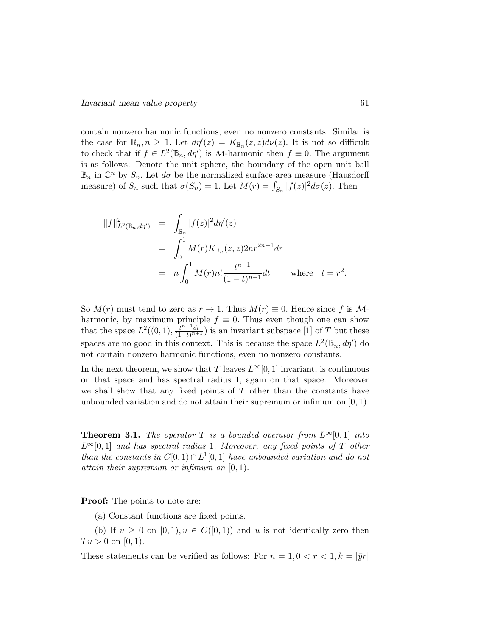contain nonzero harmonic functions, even no nonzero constants. Similar is the case for  $\mathbb{B}_n, n \geq 1$ . Let  $d\eta'(z) = K_{\mathbb{B}_n}(z, z) d\nu(z)$ . It is not so difficult to check that if  $f \in L^2(\mathbb{B}_n, d\eta')$  is *M*-harmonic then  $f \equiv 0$ . The argument is as follows: Denote the unit sphere, the boundary of the open unit ball  $\mathbb{B}_n$  in  $\mathbb{C}^n$  by  $S_n$ . Let  $d\sigma$  be the normalized surface-area measure (Hausdorff measure) of  $S_n$  such that  $\sigma(S_n) = 1$ . Let  $M(r) = \int_{S_n} |f(z)|^2 d\sigma(z)$ . Then

$$
||f||_{L^{2}(\mathbb{B}_{n},d\eta')}^{2} = \int_{\mathbb{B}_{n}} |f(z)|^{2} d\eta'(z)
$$
  
= 
$$
\int_{0}^{1} M(r) K_{\mathbb{B}_{n}}(z,z) 2nr^{2n-1} dr
$$
  
= 
$$
n \int_{0}^{1} M(r) n! \frac{t^{n-1}}{(1-t)^{n+1}} dt \quad \text{where} \quad t = r^{2}.
$$

So  $M(r)$  must tend to zero as  $r \to 1$ . Thus  $M(r) \equiv 0$ . Hence since f is Mharmonic, by maximum principle  $f \equiv 0$ . Thus even though one can show that the space  $L^2((0,1), \frac{t^{n-1}dt}{(1-t)^{n+1}})$  is an invariant subspace [1] of T but these spaces are no good in this context. This is because the space  $L^2(\mathbb{B}_n, d\eta')$  do not contain nonzero harmonic functions, even no nonzero constants.

In the next theorem, we show that T leaves  $L^{\infty}[0, 1]$  invariant, is continuous on that space and has spectral radius 1, again on that space. Moreover we shall show that any fixed points of  $T$  other than the constants have unbounded variation and do not attain their supremum or infimum on  $[0, 1)$ .

**Theorem 3.1.** The operator T is a bounded operator from  $L^{\infty}[0, 1]$  into  $L^{\infty}[0,1]$  and has spectral radius 1. Moreover, any fixed points of T other than the constants in  $C[0,1) \cap L^1[0,1]$  have unbounded variation and do not attain their supremum or infimum on [0, 1).

Proof: The points to note are:

(a) Constant functions are fixed points.

(b) If  $u \geq 0$  on  $[0, 1), u \in C([0, 1))$  and u is not identically zero then  $Tu > 0$  on [0, 1].

These statements can be verified as follows: For  $n = 1, 0 < r < 1, k = |\bar{y}r|$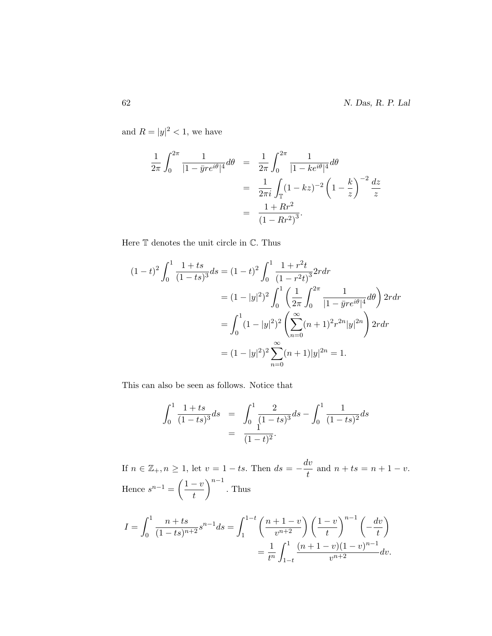and  $R = |y|^2 < 1$ , we have

$$
\frac{1}{2\pi} \int_0^{2\pi} \frac{1}{|1 - \bar{y}r e^{i\theta}|^4} d\theta = \frac{1}{2\pi} \int_0^{2\pi} \frac{1}{|1 - ke^{i\theta}|^4} d\theta
$$

$$
= \frac{1}{2\pi i} \int_{\mathbb{T}} (1 - kz)^{-2} \left(1 - \frac{k}{z}\right)^{-2} \frac{dz}{z}
$$

$$
= \frac{1 + Rr^2}{(1 - Rr^2)^3}.
$$

Here T denotes the unit circle in C. Thus

$$
(1-t)^2 \int_0^1 \frac{1+ts}{(1-ts)^3} ds = (1-t)^2 \int_0^1 \frac{1+r^2t}{(1-r^2t)^3} 2r dr
$$
  
=  $(1-|y|^2)^2 \int_0^1 \left(\frac{1}{2\pi} \int_0^{2\pi} \frac{1}{|1-\bar{y}re^{i\theta}|^4} d\theta\right) 2r dr$   
=  $\int_0^1 (1-|y|^2)^2 \left(\sum_{n=0}^\infty (n+1)^2 r^{2n} |y|^{2n}\right) 2r dr$   
=  $(1-|y|^2)^2 \sum_{n=0}^\infty (n+1)|y|^{2n} = 1.$ 

This can also be seen as follows. Notice that

$$
\int_0^1 \frac{1+ts}{(1-ts)^3} ds = \int_0^1 \frac{2}{(1-ts)^3} ds - \int_0^1 \frac{1}{(1-ts)^2} ds
$$

$$
= \frac{1}{(1-t)^2}.
$$

If  $n \in \mathbb{Z}_+, n \geq 1$ , let  $v = 1 - ts$ . Then  $ds = -\frac{dv}{dt}$  $\frac{dv}{t}$  and  $n + ts = n + 1 - v$ . Hence  $s^{n-1} = \left(\frac{1-v}{t}\right)$ t  $\big)^{n-1}$ . Thus

$$
I = \int_0^1 \frac{n+ts}{(1-ts)^{n+2}} s^{n-1} ds = \int_1^{1-t} \left(\frac{n+1-v}{v^{n+2}}\right) \left(\frac{1-v}{t}\right)^{n-1} \left(-\frac{dv}{t}\right)
$$
  
= 
$$
\frac{1}{t^n} \int_{1-t}^1 \frac{(n+1-v)(1-v)^{n-1}}{v^{n+2}} dv.
$$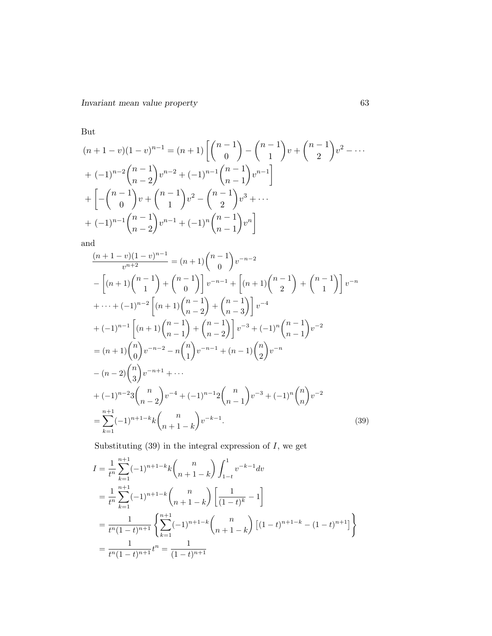But

$$
(n+1-v)(1-v)^{n-1} = (n+1)\left[\binom{n-1}{0} - \binom{n-1}{1}v + \binom{n-1}{2}v^2 - \cdots + (-1)^{n-2}\binom{n-1}{n-2}v^{n-2} + (-1)^{n-1}\binom{n-1}{n-1}v^{n-1}\right] + \left[-\binom{n-1}{0}v + \binom{n-1}{1}v^2 - \binom{n-1}{2}v^3 + \cdots + (-1)^{n-1}\binom{n-1}{n-2}v^{n-1} + (-1)^n\binom{n-1}{n-1}v^n\right]
$$

and

$$
\frac{(n+1-v)(1-v)^{n-1}}{v^{n+2}} = (n+1)\binom{n-1}{0}v^{-n-2}
$$
\n
$$
-\left[ (n+1)\binom{n-1}{1} + \binom{n-1}{0} \right] v^{-n-1} + \left[ (n+1)\binom{n-1}{2} + \binom{n-1}{1} \right] v^{-n}
$$
\n
$$
+\cdots + (-1)^{n-2} \left[ (n+1)\binom{n-1}{n-2} + \binom{n-1}{n-3} \right] v^{-4}
$$
\n
$$
+(-1)^{n-1} \left[ (n+1)\binom{n-1}{n-1} + \binom{n-1}{n-2} \right] v^{-3} + (-1)^n \binom{n-1}{n-1} v^{-2}
$$
\n
$$
= (n+1)\binom{n}{0} v^{-n-2} - n \binom{n}{1} v^{-n-1} + (n-1)\binom{n}{2} v^{-n}
$$
\n
$$
- (n-2)\binom{n}{3} v^{-n+1} + \cdots
$$
\n
$$
+ (-1)^{n-2} 3 \binom{n}{n-2} v^{-4} + (-1)^{n-1} 2 \binom{n}{n-1} v^{-3} + (-1)^n \binom{n}{n} v^{-2}
$$
\n
$$
= \sum_{k=1}^{n+1} (-1)^{n+1-k} k \binom{n}{n+1-k} v^{-k-1}.
$$
\n(39)

Substituting  $(39)$  in the integral expression of  $I$ , we get

$$
I = \frac{1}{t^n} \sum_{k=1}^{n+1} (-1)^{n+1-k} k {n \choose n+1-k} \int_{1-t}^1 v^{-k-1} dv
$$
  
\n
$$
= \frac{1}{t^n} \sum_{k=1}^{n+1} (-1)^{n+1-k} {n \choose n+1-k} \left[ \frac{1}{(1-t)^k} - 1 \right]
$$
  
\n
$$
= \frac{1}{t^n (1-t)^{n+1}} \left\{ \sum_{k=1}^{n+1} (-1)^{n+1-k} {n \choose n+1-k} \left[ (1-t)^{n+1-k} - (1-t)^{n+1} \right] \right\}
$$
  
\n
$$
= \frac{1}{t^n (1-t)^{n+1}} t^n = \frac{1}{(1-t)^{n+1}}
$$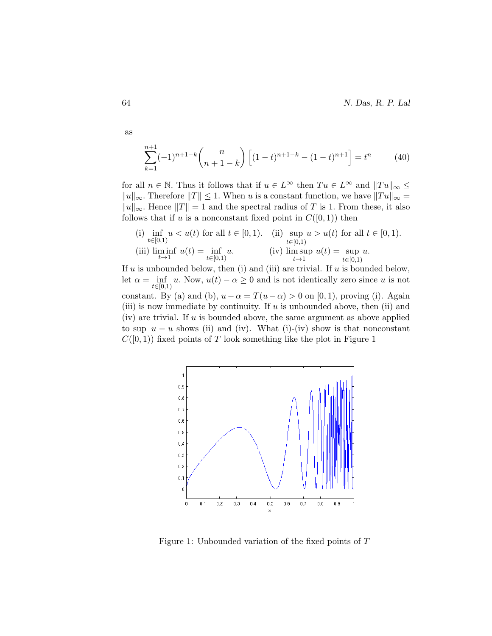64 N. Das, R. P. Lal

$$
\sum_{k=1}^{n+1} (-1)^{n+1-k} \binom{n}{n+1-k} \left[ (1-t)^{n+1-k} - (1-t)^{n+1} \right] = t^n \tag{40}
$$

for all  $n \in \mathbb{N}$ . Thus it follows that if  $u \in L^{\infty}$  then  $Tu \in L^{\infty}$  and  $||Tu||_{\infty} \leq$  $||u||_{\infty}$ . Therefore  $||T|| \leq 1$ . When u is a constant function, we have  $||Tu||_{\infty} =$  $||u||_{\infty}$ . Hence  $||T|| = 1$  and the spectral radius of T is 1. From these, it also follows that if u is a nonconstant fixed point in  $C([0,1))$  then

(i) 
$$
\inf_{t \in [0,1)} u < u(t)
$$
 for all  $t \in [0,1)$ . (ii)  $\sup_{t \in [0,1)} u > u(t)$  for all  $t \in [0,1)$ .  
\n(iii)  $\liminf_{t \to 1} u(t) = \inf_{t \in [0,1)} u$ . (iv)  $\limsup_{t \to 1} u(t) = \sup_{t \in [0,1)} u$ .

If u is unbounded below, then (i) and (iii) are trivial. If u is bounded below, let  $\alpha = \inf_{t \in [0,1]} u$ . Now,  $u(t) - \alpha \geq 0$  and is not identically zero since u is not constant. By (a) and (b),  $u - \alpha = T(u - \alpha) > 0$  on [0, 1), proving (i). Again (iii) is now immediate by continuity. If u is unbounded above, then (ii) and  $(iv)$  are trivial. If u is bounded above, the same argument as above applied to sup  $u - u$  shows (ii) and (iv). What (i)-(iv) show is that nonconstant  $C([0,1))$  fixed points of T look something like the plot in Figure 1



Figure 1: Unbounded variation of the fixed points of T

as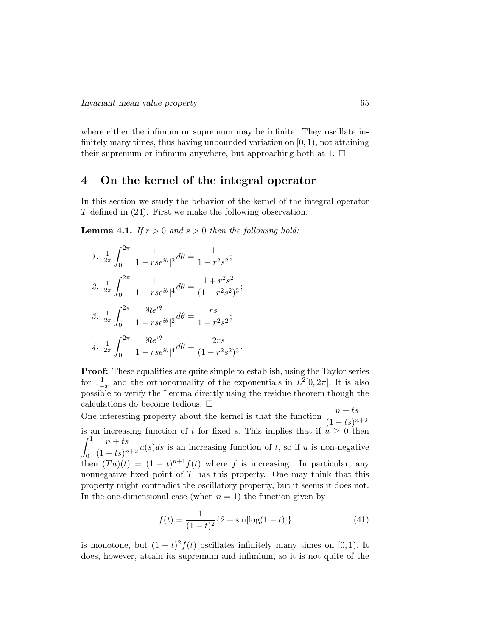where either the infimum or supremum may be infinite. They oscillate infinitely many times, thus having unbounded variation on  $[0, 1)$ , not attaining their supremum or infimum anywhere, but approaching both at 1.  $\Box$ 

## 4 On the kernel of the integral operator

In this section we study the behavior of the kernel of the integral operator T defined in (24). First we make the following observation.

**Lemma 4.1.** If  $r > 0$  and  $s > 0$  then the following hold:

1. 
$$
\frac{1}{2\pi} \int_0^{2\pi} \frac{1}{|1 - rse^{i\theta}|^2} d\theta = \frac{1}{1 - r^2 s^2};
$$
  
\n2. 
$$
\frac{1}{2\pi} \int_0^{2\pi} \frac{1}{|1 - rse^{i\theta}|^4} d\theta = \frac{1 + r^2 s^2}{(1 - r^2 s^2)^3};
$$
  
\n3. 
$$
\frac{1}{2\pi} \int_0^{2\pi} \frac{\Re e^{i\theta}}{|1 - rse^{i\theta}|^2} d\theta = \frac{rs}{1 - r^2 s^2};
$$
  
\n4. 
$$
\frac{1}{2\pi} \int_0^{2\pi} \frac{\Re e^{i\theta}}{|1 - rse^{i\theta}|^4} d\theta = \frac{2rs}{(1 - r^2 s^2)^3}.
$$

Proof: These equalities are quite simple to establish, using the Taylor series for  $\frac{1}{1-x}$  and the orthonormality of the exponentials in  $L^2[0, 2\pi]$ . It is also possible to verify the Lemma directly using the residue theorem though the calculations do become tedious.

One interesting property about the kernel is that the function  $\frac{n + ts}{(1 - ts)^{n+2}}$ is an increasing function of t for fixed s. This implies that if  $u \geq 0$  then  $\int_1^1$ 0  $n + ts$  $\frac{n}{(1-ts)^{n+2}}u(s)ds$  is an increasing function of t, so if u is non-negative then  $(Tu)(t) = (1-t)^{n+1}f(t)$  where f is increasing. In particular, any nonnegative fixed point of  $T$  has this property. One may think that this property might contradict the oscillatory property, but it seems it does not. In the one-dimensional case (when  $n = 1$ ) the function given by

$$
f(t) = \frac{1}{(1-t)^2} \{2 + \sin[\log(1-t)]\}
$$
 (41)

is monotone, but  $(1-t)^2 f(t)$  oscillates infinitely many times on [0, 1). It does, however, attain its supremum and infimium, so it is not quite of the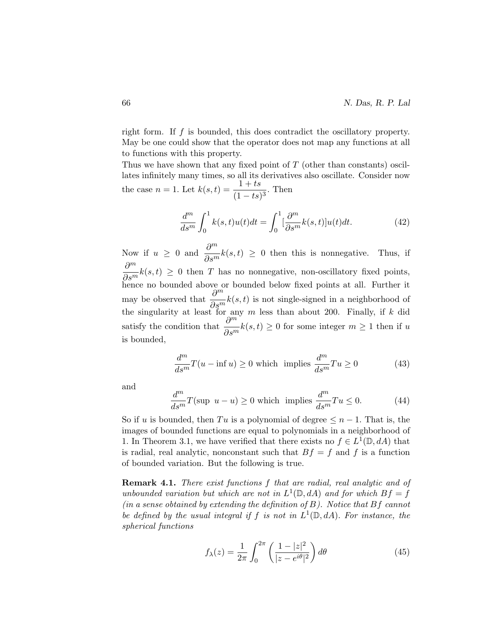right form. If f is bounded, this does contradict the oscillatory property. May be one could show that the operator does not map any functions at all to functions with this property.

Thus we have shown that any fixed point of  $T$  (other than constants) oscillates infinitely many times, so all its derivatives also oscillate. Consider now the case  $n = 1$ . Let  $k(s,t) = \frac{1+ts}{(1-ts)^3}$ . Then

$$
\frac{d^m}{ds^m} \int_0^1 k(s,t)u(t)dt = \int_0^1 \left[\frac{\partial^m}{\partial s^m}k(s,t)\right]u(t)dt.
$$
\n(42)

Now if  $u \geq 0$  and  $\frac{\partial^m}{\partial x^m}$  $\partial s^m$  $k(s,t) \geq 0$  then this is nonnegative. Thus, if  $\partial^m$  $\frac{\partial}{\partial s^m}k(s,t) \geq 0$  then T has no nonnegative, non-oscillatory fixed points, hence no bounded above or bounded below fixed points at all. Further it may be observed that  $\frac{\partial^m}{\partial x^m}$  $\frac{\partial}{\partial s^m}k(s,t)$  is not single-signed in a neighborhood of the singularity at least for any m less than about 200. Finally, if k did satisfy the condition that  $\frac{\partial^m}{\partial x^m}$  $\frac{\partial}{\partial s^m}k(s,t) \geq 0$  for some integer  $m \geq 1$  then if u is bounded,

$$
\frac{d^m}{ds^m}T(u - \inf u) \ge 0 \text{ which implies } \frac{d^m}{ds^m}Tu \ge 0 \tag{43}
$$

and

$$
\frac{d^m}{ds^m}T(\text{sup } u - u) \ge 0 \text{ which implies } \frac{d^m}{ds^m}Tu \le 0. \tag{44}
$$

So if u is bounded, then Tu is a polynomial of degree  $\leq n-1$ . That is, the images of bounded functions are equal to polynomials in a neighborhood of 1. In Theorem 3.1, we have verified that there exists no  $f \in L^1(\mathbb{D}, dA)$  that is radial, real analytic, nonconstant such that  $Bf = f$  and f is a function of bounded variation. But the following is true.

Remark 4.1. There exist functions f that are radial, real analytic and of unbounded variation but which are not in  $L^1(\mathbb{D}, dA)$  and for which  $Bf = f$  $(in a sense obtained by extending the definition of B). Notice that Bf cannot$ be defined by the usual integral if f is not in  $L^1(\mathbb{D}, dA)$ . For instance, the spherical functions

$$
f_{\lambda}(z) = \frac{1}{2\pi} \int_0^{2\pi} \left( \frac{1 - |z|^2}{|z - e^{i\theta}|^2} \right) d\theta \tag{45}
$$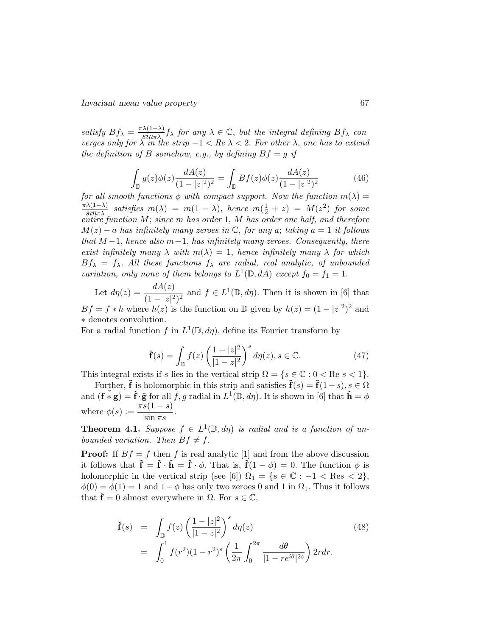satisfy  $Bf_{\lambda} = \frac{\pi \lambda (1-\lambda)}{\sin \pi \lambda} f_{\lambda}$  for any  $\lambda \in \mathbb{C}$ , but the integral defining  $Bf_{\lambda}$  converges only for  $\lambda$  in the strip  $-1 < Re \lambda < 2$ . For other  $\lambda$ , one has to extend the definition of B somehow, e.g., by defining  $Bf = g$  if

$$
\int_{\mathbb{D}} g(z)\phi(z)\frac{dA(z)}{(1-|z|^2)^2} = \int_{\mathbb{D}} Bf(z)\phi(z)\frac{dA(z)}{(1-|z|^2)^2}
$$
(46)

for all smooth functions  $\phi$  with compact support. Now the function  $m(\lambda) =$  $\frac{\pi\lambda(1-\lambda)}{\sin \pi\lambda}$  satisfies  $m(\lambda) = m(1-\lambda)$ , hence  $m(\frac{1}{2}+z) = M(z^2)$  for some entire function M; since m has order 1, M has order one half, and therefore  $M(z) - a$  has infinitely many zeroes in  $\mathbb{C}$ , for any a; taking  $a = 1$  it follows that  $M-1$ , hence also  $m-1$ , has infinitely many zeroes. Consequently, there exist infinitely many  $\lambda$  with  $m(\lambda) = 1$ , hence infinitely many  $\lambda$  for which  $Bf_{\lambda} = f_{\lambda}$ . All these functions  $f_{\lambda}$  are radial, real analytic, of unbounded variation, only none of them belongs to  $L^1(\mathbb{D}, dA)$  except  $f_0 = f_1 = 1$ .

Let  $d\eta(z) = \frac{dA(z)}{(1-|z|^2)^2}$  and  $f \in L^1(\mathbb{D}, d\eta)$ . Then it is shown in [6] that  $Bf = f * h$  where  $h(z)$  is the function on D given by  $h(z) = (1 - |z|^2)^2$  and ∗ denotes convolution.

For a radial function f in  $L^1(\mathbb{D}, d\eta)$ , define its Fourier transform by

$$
\check{\mathbf{f}}(s) = \int_{\mathbb{D}} f(z) \left( \frac{1 - |z|^2}{|1 - z|^2} \right)^s d\eta(z), s \in \mathbb{C}.
$$
 (47)

This integral exists if s lies in the vertical strip  $\Omega = \{s \in \mathbb{C} : 0 < \text{Re } s < 1\}.$ 

Further,  $\check{\mathbf{f}}$  is holomorphic in this strip and satisfies  $\check{\mathbf{f}}(s) = \check{\mathbf{f}}(1-s), s \in \Omega$ and  $(\mathbf{f} * \mathbf{g}) = \mathbf{f} \cdot \mathbf{\check{g}}$  for all  $f, g$  radial in  $L^1(\mathbb{D}, d\eta)$ . It is shown in [6] that  $\mathbf{h} = \phi$ where  $\phi(s) := \frac{\pi s(1-s)}{\sin \pi s}$ .

**Theorem 4.1.** Suppose  $f \in L^1(\mathbb{D}, d\eta)$  is radial and is a function of unbounded variation. Then  $Bf \neq f$ .

**Proof:** If  $Bf = f$  then f is real analytic [1] and from the above discussion it follows that  $\check{\mathbf{f}} = \check{\mathbf{f}} \cdot \check{\mathbf{h}} = \check{\mathbf{f}} \cdot \phi$ . That is,  $\check{\mathbf{f}}(1 - \phi) = 0$ . The function  $\phi$  is holomorphic in the vertical strip (see [6])  $\Omega_1 = \{s \in \mathbb{C} : -1 < \text{Res} < 2\},\$  $\phi(0) = \phi(1) = 1$  and  $1-\phi$  has only two zeroes 0 and 1 in  $\Omega_1$ . Thus it follows that  $\dot{\mathbf{f}} = 0$  almost everywhere in  $\Omega$ . For  $s \in \mathbb{C}$ ,

$$
\tilde{\mathbf{f}}(s) = \int_{\mathbb{D}} f(z) \left( \frac{1 - |z|^2}{|1 - z|^2} \right)^s d\eta(z) \tag{48}
$$
\n
$$
= \int_0^1 f(r^2) (1 - r^2)^s \left( \frac{1}{2\pi} \int_0^{2\pi} \frac{d\theta}{|1 - re^{i\theta}|^{2s}} \right) 2r dr.
$$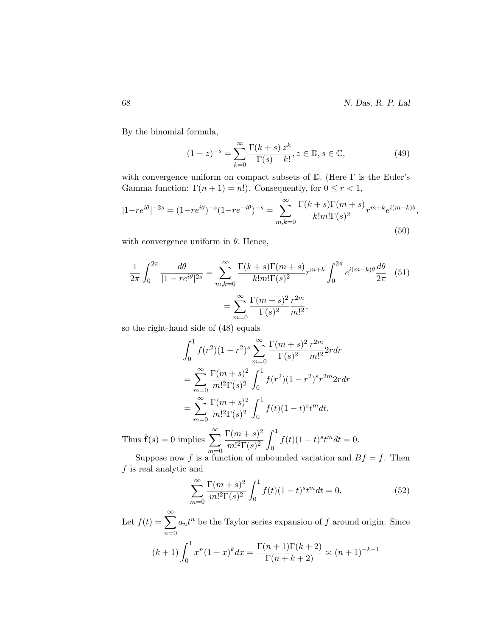68 N. Das, R. P. Lal

By the binomial formula,

$$
(1-z)^{-s} = \sum_{k=0}^{\infty} \frac{\Gamma(k+s)}{\Gamma(s)} \frac{z^k}{k!}, z \in \mathbb{D}, s \in \mathbb{C},
$$
 (49)

with convergence uniform on compact subsets of  $\mathbb{D}$ . (Here  $\Gamma$  is the Euler's Gamma function:  $\Gamma(n+1) = n!$ ). Consequently, for  $0 \le r < 1$ ,

$$
|1 - re^{i\theta}|^{-2s} = (1 - re^{i\theta})^{-s} (1 - re^{-i\theta})^{-s} = \sum_{m,k=0}^{\infty} \frac{\Gamma(k+s)\Gamma(m+s)}{k!m!\Gamma(s)^2} r^{m+k} e^{i(m-k)\theta},\tag{50}
$$

with convergence uniform in  $\theta$ . Hence,

$$
\frac{1}{2\pi} \int_0^{2\pi} \frac{d\theta}{|1 - re^{i\theta}|^{2s}} = \sum_{m,k=0}^{\infty} \frac{\Gamma(k+s)\Gamma(m+s)}{k!m!\Gamma(s)^2} r^{m+k} \int_0^{2\pi} e^{i(m-k)\theta} \frac{d\theta}{2\pi}
$$
(51)  
= 
$$
\sum_{m=0}^{\infty} \frac{\Gamma(m+s)^2}{\Gamma(s)^2} \frac{r^{2m}}{m!^2},
$$

so the right-hand side of (48) equals

$$
\int_0^1 f(r^2)(1-r^2)^s \sum_{m=0}^\infty \frac{\Gamma(m+s)^2}{\Gamma(s)^2} \frac{r^{2m}}{m!^2} 2r dr
$$
  
= 
$$
\sum_{m=0}^\infty \frac{\Gamma(m+s)^2}{m!^2 \Gamma(s)^2} \int_0^1 f(r^2)(1-r^2)^s r^{2m} 2r dr
$$
  
= 
$$
\sum_{m=0}^\infty \frac{\Gamma(m+s)^2}{m!^2 \Gamma(s)^2} \int_0^1 f(t)(1-t)^s t^m dt.
$$
  
= 0 implies 
$$
\sum_{m=0}^\infty \frac{\Gamma(m+s)^2}{\Gamma(m+s)^2} \int_0^1 f(t)(1-t)^s t^m dt
$$

Thus  $\check{\mathbf{f}}(s) = 0$  implies  $\sum_{n=1}^{\infty}$  $m=0$  $m!^2\Gamma(s)^2$ 0  $f(t)(1-t)^s t^m dt = 0.$ 

Suppose now f is a function of unbounded variation and  $Bf = f$ . Then  $f$  is real analytic and

$$
\sum_{m=0}^{\infty} \frac{\Gamma(m+s)^2}{m!^2 \Gamma(s)^2} \int_0^1 f(t) (1-t)^s t^m dt = 0.
$$
 (52)

Let  $f(t) = \sum_{n=0}^{\infty}$  $n=0$  $a_n t^n$  be the Taylor series expansion of f around origin. Since

$$
(k+1)\int_0^1 x^n (1-x)^k dx = \frac{\Gamma(n+1)\Gamma(k+2)}{\Gamma(n+k+2)} \approx (n+1)^{-k-1}
$$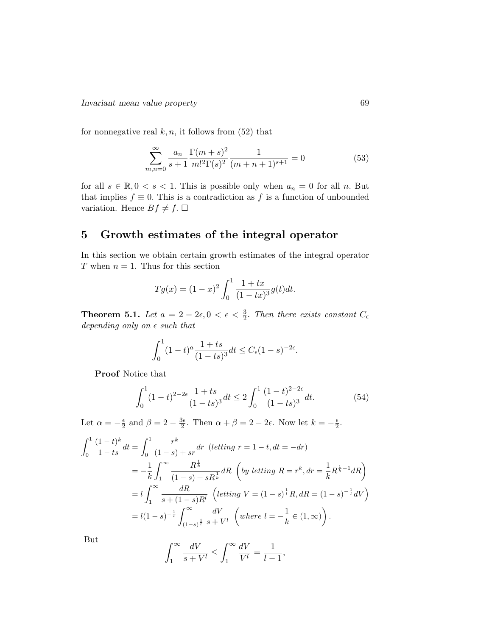for nonnegative real  $k, n$ , it follows from (52) that

$$
\sum_{m,n=0}^{\infty} \frac{a_n}{s+1} \frac{\Gamma(m+s)^2}{m!^2 \Gamma(s)^2} \frac{1}{(m+n+1)^{s+1}} = 0
$$
 (53)

for all  $s \in \mathbb{R}, 0 < s < 1$ . This is possible only when  $a_n = 0$  for all n. But that implies  $f \equiv 0$ . This is a contradiction as f is a function of unbounded variation. Hence  $Bf \neq f$ .  $\Box$ 

# 5 Growth estimates of the integral operator

In this section we obtain certain growth estimates of the integral operator T when  $n = 1$ . Thus for this section

$$
Tg(x) = (1-x)^2 \int_0^1 \frac{1+tx}{(1-tx)^3} g(t)dt.
$$

**Theorem 5.1.** Let  $a = 2 - 2\epsilon, 0 < \epsilon < \frac{3}{2}$ . Then there exists constant  $C_{\epsilon}$ depending only on  $\epsilon$  such that

$$
\int_0^1 (1-t)^a \frac{1+ts}{(1-ts)^3} dt \le C_{\epsilon} (1-s)^{-2\epsilon}.
$$

Proof Notice that

$$
\int_0^1 (1-t)^{2-2\epsilon} \frac{1+ts}{(1-ts)^3} dt \le 2 \int_0^1 \frac{(1-t)^{2-2\epsilon}}{(1-ts)^3} dt.
$$
 (54)

Let  $\alpha = -\frac{\epsilon}{2}$  $\frac{\epsilon}{2}$  and  $\beta = 2 - \frac{3\epsilon}{2}$  $\frac{3\epsilon}{2}$ . Then  $\alpha + \beta = 2 - 2\epsilon$ . Now let  $k = -\frac{\epsilon}{2}$  $\frac{\epsilon}{2}$ .

$$
\int_{0}^{1} \frac{(1-t)^{k}}{1-ts} dt = \int_{0}^{1} \frac{r^{k}}{(1-s) + sr} dr \text{ (letting } r = 1-t, dt = -dr)
$$
  
=  $-\frac{1}{k} \int_{1}^{\infty} \frac{R^{\frac{1}{k}}}{(1-s) + sR^{\frac{1}{k}}} dR \text{ (by letting } R = r^{k}, dr = \frac{1}{k} R^{\frac{1}{k}-1} dR$ )  
=  $l \int_{1}^{\infty} \frac{dR}{s + (1-s)R^{l}} \text{ (letting } V = (1-s)^{\frac{1}{l}} R, dR = (1-s)^{-\frac{1}{l}} dV$ )  
=  $l(1-s)^{-\frac{1}{l}} \int_{(1-s)^{\frac{1}{l}}}^{\infty} \frac{dV}{s + V^{l}} \text{ (where } l = -\frac{1}{k} \in (1, \infty)$ ).

But

$$
\int_{1}^{\infty} \frac{dV}{s + V^{l}} \le \int_{1}^{\infty} \frac{dV}{V^{l}} = \frac{1}{l - 1},
$$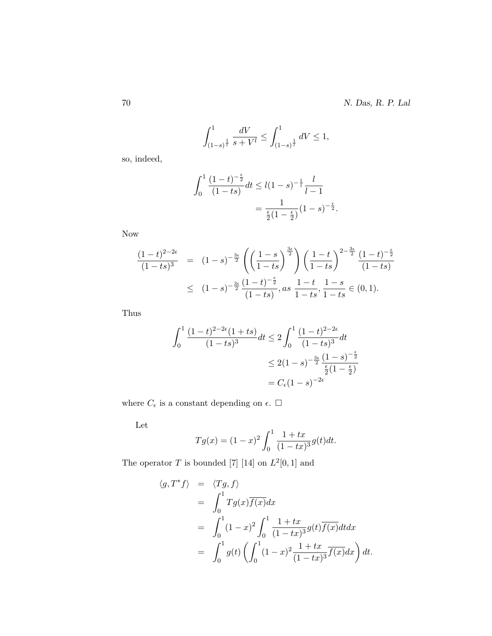$$
\int_{(1-s)^{\frac{1}{t}}}^{1} \frac{dV}{s+V^{l}} \le \int_{(1-s)^{\frac{1}{t}}}^{1} dV \le 1,
$$

so, indeed,

$$
\int_0^1 \frac{(1-t)^{-\frac{\epsilon}{2}}}{(1-ts)} dt \le l(1-s)^{-\frac{1}{l}} \frac{l}{l-1}
$$
  
= 
$$
\frac{1}{\frac{\epsilon}{2}(1-\frac{\epsilon}{2})} (1-s)^{-\frac{\epsilon}{2}}.
$$

Now

$$
\frac{(1-t)^{2-2\epsilon}}{(1-ts)^3} = (1-s)^{-\frac{3\epsilon}{2}} \left( \left( \frac{1-s}{1-ts} \right)^{\frac{3\epsilon}{2}} \right) \left( \frac{1-t}{1-ts} \right)^{2-\frac{3\epsilon}{2}} \frac{(1-t)^{-\frac{\epsilon}{2}}}{(1-ts)} \n\leq (1-s)^{-\frac{3\epsilon}{2}} \frac{(1-t)^{-\frac{\epsilon}{2}}}{(1-ts)}, as \frac{1-t}{1-ts}, \frac{1-s}{1-ts} \in (0,1).
$$

Thus

$$
\int_0^1 \frac{(1-t)^{2-2\epsilon}(1+ts)}{(1-ts)^3} dt \le 2 \int_0^1 \frac{(1-t)^{2-2\epsilon}}{(1-ts)^3} dt
$$
  

$$
\le 2(1-s)^{-\frac{3\epsilon}{2}} \frac{(1-s)^{-\frac{\epsilon}{2}}}{\frac{\epsilon}{2}(1-\frac{\epsilon}{2})}
$$
  

$$
= C_{\epsilon}(1-s)^{-2\epsilon}
$$

where  $C_\epsilon$  is a constant depending on  $\epsilon.$   $\Box$ 

Let

$$
Tg(x) = (1 - x)^2 \int_0^1 \frac{1 + tx}{(1 - tx)^3} g(t) dt.
$$

The operator T is bounded [7] [14] on  $L^2[0,1]$  and

$$
\langle g, T^* f \rangle = \langle Tg, f \rangle
$$
  
=  $\int_0^1 Tg(x) \overline{f(x)} dx$   
=  $\int_0^1 (1-x)^2 \int_0^1 \frac{1+tx}{(1-tx)^3} g(t) \overline{f(x)} dt dx$   
=  $\int_0^1 g(t) \left( \int_0^1 (1-x)^2 \frac{1+tx}{(1-tx)^3} \overline{f(x)} dx \right) dt.$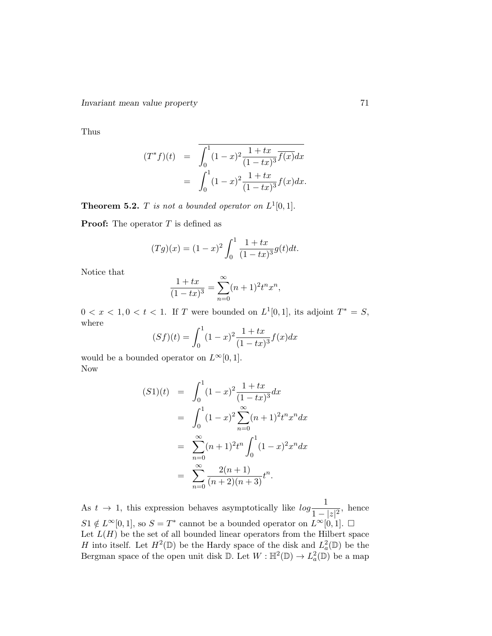Thus

$$
(T^*f)(t) = \int_0^1 (1-x)^2 \frac{1+tx}{(1-tx)^3} \overline{f(x)} dx
$$
  
= 
$$
\int_0^1 (1-x)^2 \frac{1+tx}{(1-tx)^3} f(x) dx.
$$

**Theorem 5.2.** T is not a bounded operator on  $L^1[0,1]$ .

**Proof:** The operator  $T$  is defined as

$$
(Tg)(x) = (1-x)^2 \int_0^1 \frac{1+tx}{(1-tx)^3} g(t)dt.
$$

Notice that

$$
\frac{1+tx}{(1-tx)^3} = \sum_{n=0}^{\infty} (n+1)^2 t^n x^n,
$$

 $0 < x < 1, 0 < t < 1$ . If T were bounded on  $L^1[0,1]$ , its adjoint  $T^* = S$ , where

$$
(Sf)(t) = \int_0^1 (1-x)^2 \frac{1+tx}{(1-tx)^3} f(x) dx
$$

would be a bounded operator on  $L^{\infty}[0, 1]$ . Now

$$
(S1)(t) = \int_0^1 (1-x)^2 \frac{1+tx}{(1-tx)^3} dx
$$
  
= 
$$
\int_0^1 (1-x)^2 \sum_{n=0}^\infty (n+1)^2 t^n x^n dx
$$
  
= 
$$
\sum_{n=0}^\infty (n+1)^2 t^n \int_0^1 (1-x)^2 x^n dx
$$
  
= 
$$
\sum_{n=0}^\infty \frac{2(n+1)}{(n+2)(n+3)} t^n.
$$

As  $t \to 1$ , this expression behaves asymptotically like  $\log \frac{1}{1-|z|^2}$ , hence  $S1 \notin L^{\infty}[0,1],$  so  $S=T^*$  cannot be a bounded operator on  $L^{\infty}[0,1].$   $\square$ Let  $L(H)$  be the set of all bounded linear operators from the Hilbert space H into itself. Let  $H^2(\mathbb{D})$  be the Hardy space of the disk and  $L^2_a(\mathbb{D})$  be the Bergman space of the open unit disk  $\mathbb{D}$ . Let  $W : \mathbb{H}^2(\mathbb{D}) \to L^2_a(\mathbb{D})$  be a map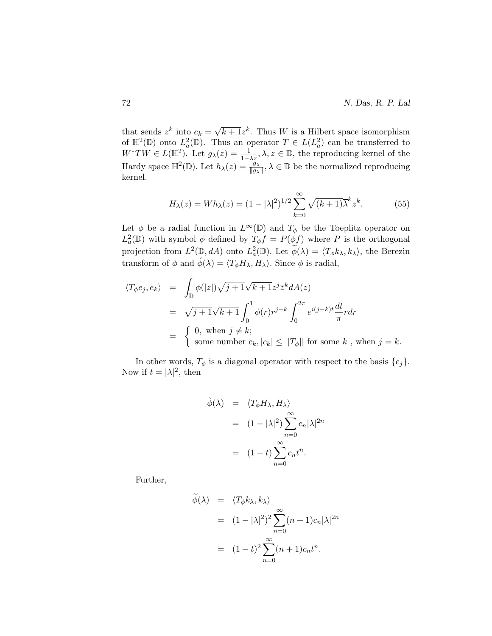that sends  $z^k$  into  $e_k =$ √  $\overline{k+1}z^k$ . Thus W is a Hilbert space isomorphism of  $\mathbb{H}^2(\mathbb{D})$  onto  $L^2_a(\mathbb{D})$ . Thus an operator  $T \in L(L^2_a)$  can be transferred to  $W^*TW \in L(\mathbb{H}^2)$ . Let  $g_\lambda(z) = \frac{1}{1-\overline{\lambda}z}, \lambda, z \in \mathbb{D}$ , the reproducing kernel of the Hardy space  $\mathbb{H}^2(\mathbb{D})$ . Let  $h_\lambda(z) = \frac{g_\lambda}{\|g_\lambda\|}, \lambda \in \mathbb{D}$  be the normalized reproducing kernel.

$$
H_{\lambda}(z) = Wh_{\lambda}(z) = (1 - |\lambda|^2)^{1/2} \sum_{k=0}^{\infty} \sqrt{(k+1)\lambda}^k z^k.
$$
 (55)

Let  $\phi$  be a radial function in  $L^{\infty}(\mathbb{D})$  and  $T_{\phi}$  be the Toeplitz operator on  $L^2_a(\mathbb{D})$  with symbol  $\phi$  defined by  $T_\phi f = P(\phi f)$  where P is the orthogonal projection from  $L^2(\mathbb{D}, dA)$  onto  $L^2_a(\mathbb{D})$ . Let  $\widetilde{\phi}(\lambda) = \langle T_{\phi}k_{\lambda}, k_{\lambda} \rangle$ , the Berezin transform of  $\phi$  and  $\phi(\lambda) = \langle T_{\phi} H_{\lambda}, H_{\lambda} \rangle$ . Since  $\phi$  is radial,

$$
\langle T_{\phi}e_j, e_k \rangle = \int_{\mathbb{D}} \phi(|z|) \sqrt{j+1} \sqrt{k+1} z^j \overline{z}^k dA(z)
$$
  
\n
$$
= \sqrt{j+1} \sqrt{k+1} \int_0^1 \phi(r) r^{j+k} \int_0^{2\pi} e^{i(j-k)t} \frac{dt}{\pi} r dr
$$
  
\n
$$
= \begin{cases} 0, \text{ when } j \neq k; \\ \text{some number } c_k, |c_k| \le ||T_{\phi}|| \text{ for some } k, \text{ when } j = k. \end{cases}
$$

In other words,  $T_{\phi}$  is a diagonal operator with respect to the basis  $\{e_j\}$ . Now if  $t = |\lambda|^2$ , then

$$
\dot{\phi}(\lambda) = \langle T_{\phi} H_{\lambda}, H_{\lambda} \rangle
$$
  
=  $(1 - |\lambda|^2) \sum_{n=0}^{\infty} c_n |\lambda|^{2n}$   
=  $(1 - t) \sum_{n=0}^{\infty} c_n t^n$ .

Further,

$$
\widetilde{\phi}(\lambda) = \langle T_{\phi} k_{\lambda}, k_{\lambda} \rangle
$$
  
=  $(1 - |\lambda|^2)^2 \sum_{n=0}^{\infty} (n+1)c_n |\lambda|^{2n}$   
=  $(1-t)^2 \sum_{n=0}^{\infty} (n+1)c_n t^n$ .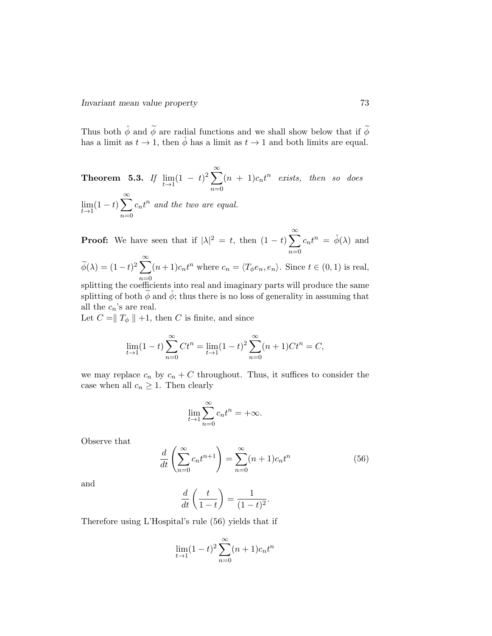Thus both  $\stackrel{\circ}{\phi}$  and  $\stackrel{\sim}{\phi}$  are radial functions and we shall show below that if  $\stackrel{\sim}{\phi}$ has a limit as  $t \to 1$ , then  $\phi$  has a limit as  $t \to 1$  and both limits are equal.

**Theorem 5.3.** If 
$$
\lim_{t \to 1} (1 - t)^2 \sum_{n=0}^{\infty} (n + 1)c_n t^n
$$
 exists, then so does  $\lim_{t \to 1} (1 - t) \sum_{n=0}^{\infty} c_n t^n$  and the two are equal.

**Proof:** We have seen that if  $|\lambda|^2 = t$ , then  $(1-t)\sum_{n=1}^{\infty}$  $n=0$  $c_n t^n = \dot{\phi}(\lambda)$  and  $\widetilde{\phi}(\lambda) = (1-t)^2 \sum_{n=1}^{\infty}$  $n=0$  $(n+1)c_nt^n$  where  $c_n = \langle T_{\phi}e_n, e_n \rangle$ . Since  $t \in (0,1)$  is real,

splitting the coefficients into real and imaginary parts will produce the same splitting of both  $\phi$  and  $\phi$ ; thus there is no loss of generality in assuming that all the  $c_n$ 's are real.

Let  $C = ||T_{\phi} || +1$ , then C is finite, and since

$$
\lim_{t \to 1} (1 - t) \sum_{n=0}^{\infty} Ct^n = \lim_{t \to 1} (1 - t)^2 \sum_{n=0}^{\infty} (n + 1)Ct^n = C,
$$

we may replace  $c_n$  by  $c_n + C$  throughout. Thus, it suffices to consider the case when all  $c_n \geq 1$ . Then clearly

$$
\lim_{t \to 1} \sum_{n=0}^{\infty} c_n t^n = +\infty.
$$

Observe that

$$
\frac{d}{dt}\left(\sum_{n=0}^{\infty}c_nt^{n+1}\right) = \sum_{n=0}^{\infty}(n+1)c_nt^n\tag{56}
$$

and

$$
\frac{d}{dt}\left(\frac{t}{1-t}\right) = \frac{1}{(1-t)^2}.
$$

Therefore using L'Hospital's rule (56) yields that if

$$
\lim_{t \to 1} (1-t)^2 \sum_{n=0}^{\infty} (n+1)c_n t^n
$$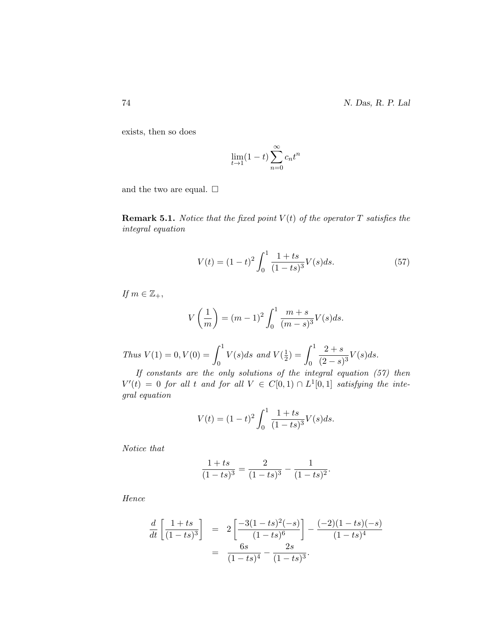exists, then so does

$$
\lim_{t \to 1} (1 - t) \sum_{n=0}^{\infty} c_n t^n
$$

and the two are equal.  $\Box$ 

**Remark 5.1.** Notice that the fixed point  $V(t)$  of the operator  $T$  satisfies the integral equation

$$
V(t) = (1 - t)^2 \int_0^1 \frac{1 + ts}{(1 - ts)^3} V(s) ds.
$$
 (57)

If  $m \in \mathbb{Z}_+$ ,

$$
V\left(\frac{1}{m}\right) = (m-1)^2 \int_0^1 \frac{m+s}{(m-s)^3} V(s) ds.
$$

Thus  $V(1) = 0, V(0) = \int_0^1$ 0  $V(s)ds$  and  $V(\frac{1}{2})$  $(\frac{1}{2}) = (\int_{0}^{1}$ 0  $2 + s$  $\frac{2+8}{(2-s)^3}V(s)ds.$ 

If constants are the only solutions of the integral equation (57) then  $V'(t) = 0$  for all t and for all  $V \in C[0,1) \cap L^1[0,1]$  satisfying the integral equation

$$
V(t) = (1 - t)^2 \int_0^1 \frac{1 + ts}{(1 - ts)^3} V(s) ds.
$$

Notice that

$$
\frac{1+ts}{(1-ts)^3} = \frac{2}{(1-ts)^3} - \frac{1}{(1-ts)^2}.
$$

Hence

$$
\frac{d}{dt} \left[ \frac{1+ts}{(1-ts)^3} \right] = 2 \left[ \frac{-3(1-ts)^2(-s)}{(1-ts)^6} \right] - \frac{(-2)(1-ts)(-s)}{(1-ts)^4}
$$

$$
= \frac{6s}{(1-ts)^4} - \frac{2s}{(1-ts)^3}.
$$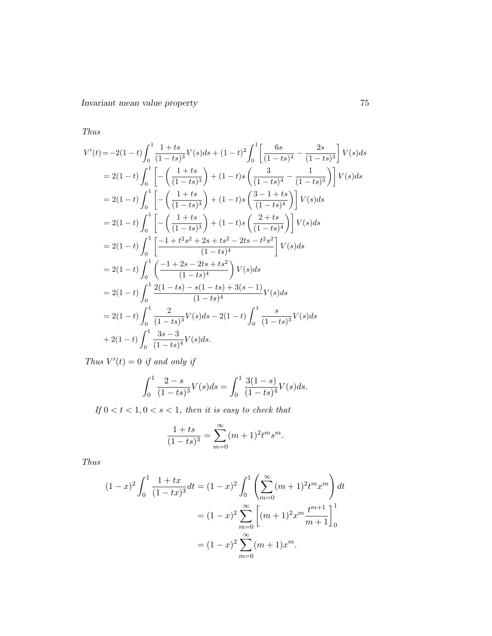Thus

$$
V'(t) = -2(1-t)\int_0^1 \frac{1+ts}{(1-ts)^3}V(s)ds + (1-t)^2\int_0^1 \left[\frac{6s}{(1-ts)^4} - \frac{2s}{(1-ts)^3}\right]V(s)ds
$$
  
\n
$$
= 2(1-t)\int_0^1 \left[-\left(\frac{1+ts}{(1-ts)^3}\right) + (1-t)s\left(\frac{3}{(1-ts)^4} - \frac{1}{(1-ts)^3}\right)\right]V(s)ds
$$
  
\n
$$
= 2(1-t)\int_0^1 \left[-\left(\frac{1+ts}{(1-ts)^3}\right) + (1-t)s\left(\frac{3-1+ts}{(1-ts)^4}\right)\right]V(s)ds
$$
  
\n
$$
= 2(1-t)\int_0^1 \left[-\left(\frac{1+ts}{(1-ts)^3}\right) + (1-t)s\left(\frac{2+ts}{(1-ts)^4}\right)\right]V(s)ds
$$
  
\n
$$
= 2(1-t)\int_0^1 \left[\frac{-1+t^2s^2+2s+ts^2-2ts-t^2s^2}{(1-ts)^4}\right]V(s)ds
$$
  
\n
$$
= 2(1-t)\int_0^1 \left(\frac{-1+2s-2ts+ts^2}{(1-ts)^4}\right)V(s)ds
$$
  
\n
$$
= 2(1-t)\int_0^1 \frac{2(1-ts)-s(1-ts)+3(s-1)}{(1-ts)^4}V(s)ds
$$
  
\n
$$
= 2(1-t)\int_0^1 \frac{2}{(1-ts)^3}V(s)ds - 2(1-t)\int_0^1 \frac{s}{(1-ts)^3}V(s)ds
$$
  
\n
$$
+ 2(1-t)\int_0^1 \frac{3s-3}{(1-ts)^3}V(s)ds.
$$

Thus  $V'(t) = 0$  if and only if

$$
\int_0^1 \frac{2-s}{(1-ts)^3} V(s) ds = \int_0^1 \frac{3(1-s)}{(1-ts)^4} V(s) ds.
$$

If  $0 < t < 1, 0 < s < 1$ , then it is easy to check that

$$
\frac{1+ts}{(1-ts)^3} = \sum_{m=0}^{\infty} (m+1)^2 t^m s^m.
$$

Thus

$$
(1-x)^2 \int_0^1 \frac{1+tx}{(1-tx)^3} dt = (1-x)^2 \int_0^1 \left(\sum_{m=0}^\infty (m+1)^2 t^m x^m\right) dt
$$

$$
= (1-x)^2 \sum_{m=0}^\infty \left[ (m+1)^2 x^m \frac{t^{m+1}}{m+1} \right]_0^1
$$

$$
= (1-x)^2 \sum_{m=0}^\infty (m+1) x^m.
$$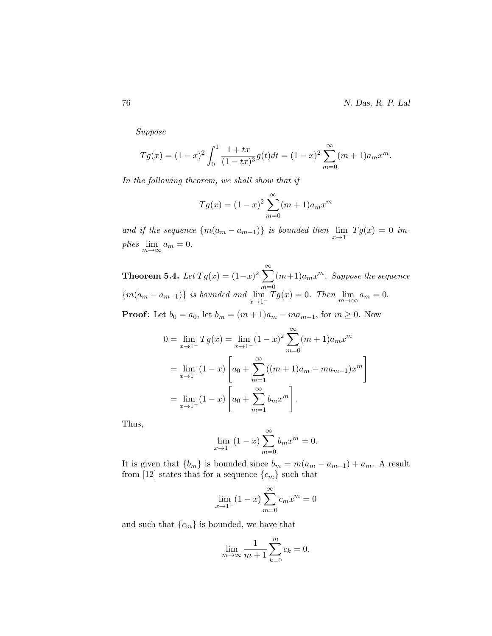Suppose

$$
Tg(x) = (1-x)^2 \int_0^1 \frac{1+tx}{(1-tx)^3} g(t) dt = (1-x)^2 \sum_{m=0}^\infty (m+1) a_m x^m.
$$

In the following theorem, we shall show that if

$$
Tg(x) = (1 - x)^2 \sum_{m=0}^{\infty} (m+1)a_m x^m
$$

and if the sequence  $\{m(a_m - a_{m-1})\}$  is bounded then  $\lim_{x \to 1^{-}} Tg(x) = 0$  implies  $\lim_{m\to\infty} a_m = 0.$ 

Theorem 5.4. Let  $Tg(x) = (1-x)^2 \sum_{n=1}^{\infty}$  $m=0$  $(m+1)a_mx^m$ . Suppose the sequence  ${m(a_m - a_{m-1})}$  is bounded and  $\lim_{x \to 1^{-}} Tg(x) = 0$ . Then  $\lim_{m \to \infty} a_m = 0$ . **Proof:** Let  $b_0 = a_0$ , let  $b_m = (m+1)a_m - ma_{m-1}$ , for  $m \ge 0$ . Now

$$
0 = \lim_{x \to 1^{-}} Tg(x) = \lim_{x \to 1^{-}} (1 - x)^2 \sum_{m=0}^{\infty} (m+1)a_m x^m
$$
  
= 
$$
\lim_{x \to 1^{-}} (1 - x) \left[ a_0 + \sum_{m=1}^{\infty} ((m+1)a_m - ma_{m-1}) x^m \right]
$$
  
= 
$$
\lim_{x \to 1^{-}} (1 - x) \left[ a_0 + \sum_{m=1}^{\infty} b_m x^m \right].
$$

Thus,

$$
\lim_{x \to 1^{-}} (1 - x) \sum_{m=0}^{\infty} b_m x^m = 0.
$$

It is given that  ${b_m}$  is bounded since  $b_m = m(a_m - a_{m-1}) + a_m$ . A result from [12] states that for a sequence  $\{c_m\}$  such that

$$
\lim_{x \to 1^{-}} (1 - x) \sum_{m=0}^{\infty} c_m x^m = 0
$$

and such that  ${c_m}$  is bounded, we have that

$$
\lim_{m \to \infty} \frac{1}{m+1} \sum_{k=0}^{m} c_k = 0.
$$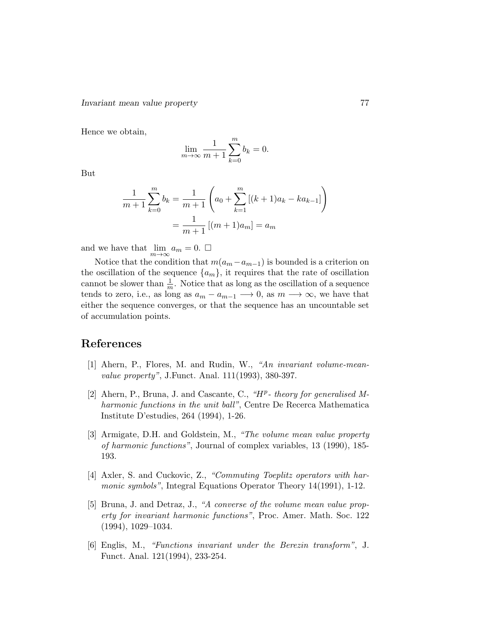Hence we obtain,

$$
\lim_{m \to \infty} \frac{1}{m+1} \sum_{k=0}^{m} b_k = 0.
$$

But

$$
\frac{1}{m+1} \sum_{k=0}^{m} b_k = \frac{1}{m+1} \left( a_0 + \sum_{k=1}^{m} \left[ (k+1)a_k - ka_{k-1} \right] \right)
$$

$$
= \frac{1}{m+1} \left[ (m+1)a_m \right] = a_m
$$

and we have that  $\lim_{m\to\infty} a_m = 0.$   $\Box$ 

Notice that the condition that  $m(a_m - a_{m-1})$  is bounded is a criterion on the oscillation of the sequence  $\{a_m\}$ , it requires that the rate of oscillation cannot be slower than  $\frac{1}{m}$ . Notice that as long as the oscillation of a sequence tends to zero, i.e., as long as  $a_m - a_{m-1} \longrightarrow 0$ , as  $m \longrightarrow \infty$ , we have that either the sequence converges, or that the sequence has an uncountable set of accumulation points.

# References

- [1] Ahern, P., Flores, M. and Rudin, W., "An invariant volume-meanvalue property", J.Funct. Anal. 111(1993), 380-397.
- [2] Ahern, P., Bruna, J. and Cascante, C., " $H^p$  theory for generalised Mharmonic functions in the unit ball", Centre De Recerca Mathematica Institute D'estudies, 264 (1994), 1-26.
- [3] Armigate, D.H. and Goldstein, M., "The volume mean value property of harmonic functions", Journal of complex variables, 13 (1990), 185- 193.
- [4] Axler, S. and Cuckovic, Z., "Commuting Toeplitz operators with harmonic symbols", Integral Equations Operator Theory 14(1991), 1-12.
- [5] Bruna, J. and Detraz, J., "A converse of the volume mean value property for invariant harmonic functions", Proc. Amer. Math. Soc. 122 (1994), 1029–1034.
- [6] Englis, M., "Functions invariant under the Berezin transform", J. Funct. Anal. 121(1994), 233-254.